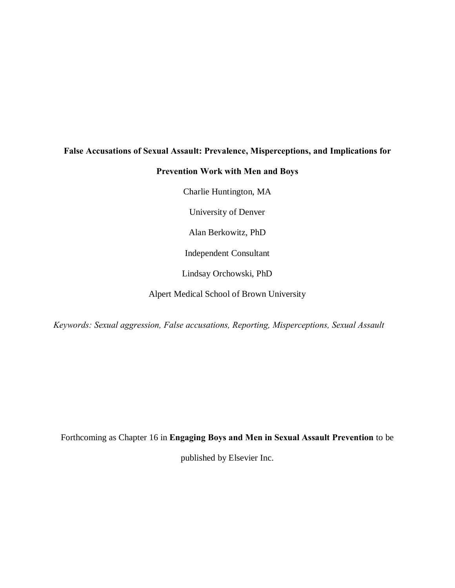# **False Accusations of Sexual Assault: Prevalence, Misperceptions, and Implications for**

### **Prevention Work with Men and Boys**

Charlie Huntington, MA

University of Denver

Alan Berkowitz, PhD

Independent Consultant

Lindsay Orchowski, PhD

Alpert Medical School of Brown University

*Keywords: Sexual aggression, False accusations, Reporting, Misperceptions, Sexual Assault*

Forthcoming as Chapter 16 in **Engaging Boys and Men in Sexual Assault Prevention** to be

published by Elsevier Inc.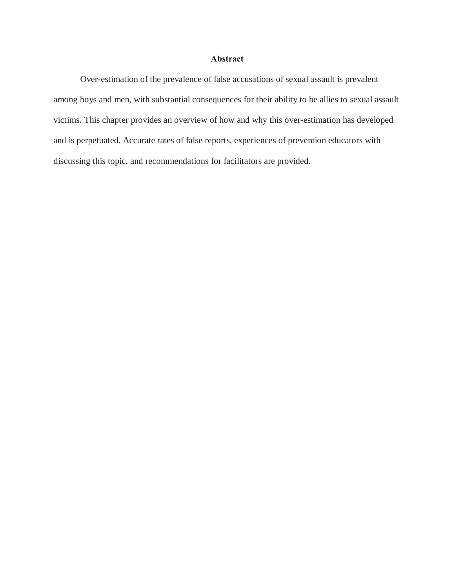#### **Abstract**

Over-estimation of the prevalence of false accusations of sexual assault is prevalent among boys and men, with substantial consequences for their ability to be allies to sexual assault victims. This chapter provides an overview of how and why this over-estimation has developed and is perpetuated. Accurate rates of false reports, experiences of prevention educators with discussing this topic, and recommendations for facilitators are provided.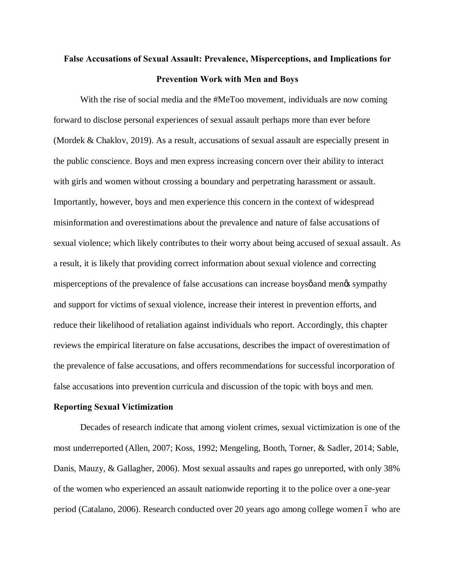# **False Accusations of Sexual Assault: Prevalence, Misperceptions, and Implications for Prevention Work with Men and Boys**

With the rise of social media and the #MeToo movement, individuals are now coming forward to disclose personal experiences of sexual assault perhaps more than ever before (Mordek & Chaklov, 2019). As a result, accusations of sexual assault are especially present in the public conscience. Boys and men express increasing concern over their ability to interact with girls and women without crossing a boundary and perpetrating harassment or assault. Importantly, however, boys and men experience this concern in the context of widespread misinformation and overestimations about the prevalence and nature of false accusations of sexual violence; which likely contributes to their worry about being accused of sexual assault. As a result, it is likely that providing correct information about sexual violence and correcting misperceptions of the prevalence of false accusations can increase boysol and menos sympathy and support for victims of sexual violence, increase their interest in prevention efforts, and reduce their likelihood of retaliation against individuals who report. Accordingly, this chapter reviews the empirical literature on false accusations, describes the impact of overestimation of the prevalence of false accusations, and offers recommendations for successful incorporation of false accusations into prevention curricula and discussion of the topic with boys and men.

#### **Reporting Sexual Victimization**

Decades of research indicate that among violent crimes, sexual victimization is one of the most underreported (Allen, 2007; Koss, 1992; Mengeling, Booth, Torner, & Sadler, 2014; Sable, Danis, Mauzy, & Gallagher, 2006). Most sexual assaults and rapes go unreported, with only 38% of the women who experienced an assault nationwide reporting it to the police over a one-year period (Catalano, 2006). Research conducted over 20 years ago among college women 6 who are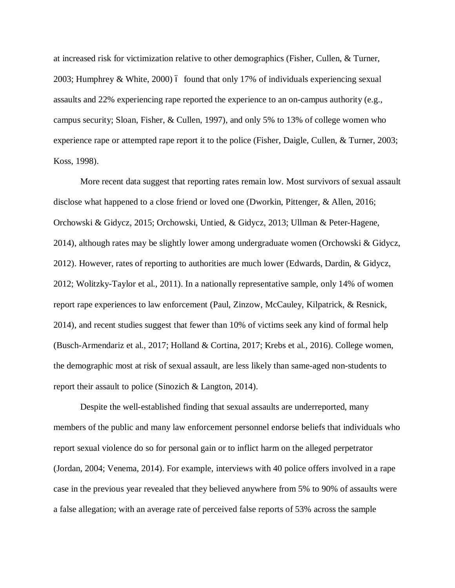at increased risk for victimization relative to other demographics (Fisher, Cullen, & Turner, 2003; Humphrey & White, 2000) 6 found that only 17% of individuals experiencing sexual assaults and 22% experiencing rape reported the experience to an on-campus authority (e.g., campus security; Sloan, Fisher, & Cullen, 1997), and only 5% to 13% of college women who experience rape or attempted rape report it to the police (Fisher, Daigle, Cullen, & Turner, 2003; Koss, 1998).

More recent data suggest that reporting rates remain low. Most survivors of sexual assault disclose what happened to a close friend or loved one (Dworkin, Pittenger, & Allen, 2016; Orchowski & Gidycz, 2015; Orchowski, Untied, & Gidycz, 2013; Ullman & Peter-Hagene, 2014), although rates may be slightly lower among undergraduate women (Orchowski & Gidycz, 2012). However, rates of reporting to authorities are much lower (Edwards, Dardin, & Gidycz, 2012; Wolitzky-Taylor et al., 2011). In a nationally representative sample, only 14% of women report rape experiences to law enforcement (Paul, Zinzow, McCauley, Kilpatrick, & Resnick, 2014), and recent studies suggest that fewer than 10% of victims seek any kind of formal help (Busch-Armendariz et al., 2017; Holland & Cortina, 2017; Krebs et al., 2016). College women, the demographic most at risk of sexual assault, are less likely than same-aged non-students to report their assault to police (Sinozich & Langton, 2014).

Despite the well-established finding that sexual assaults are underreported, many members of the public and many law enforcement personnel endorse beliefs that individuals who report sexual violence do so for personal gain or to inflict harm on the alleged perpetrator (Jordan, 2004; Venema, 2014). For example, interviews with 40 police offers involved in a rape case in the previous year revealed that they believed anywhere from 5% to 90% of assaults were a false allegation; with an average rate of perceived false reports of 53% across the sample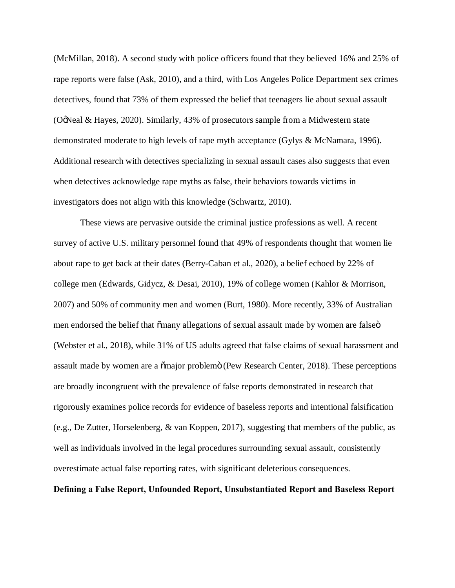(McMillan, 2018). A second study with police officers found that they believed 16% and 25% of rape reports were false (Ask, 2010), and a third, with Los Angeles Police Department sex crimes detectives, found that 73% of them expressed the belief that teenagers lie about sexual assault (O'Neal & Hayes, 2020). Similarly, 43% of prosecutors sample from a Midwestern state demonstrated moderate to high levels of rape myth acceptance (Gylys & McNamara, 1996). Additional research with detectives specializing in sexual assault cases also suggests that even when detectives acknowledge rape myths as false, their behaviors towards victims in investigators does not align with this knowledge (Schwartz, 2010).

These views are pervasive outside the criminal justice professions as well. A recent survey of active U.S. military personnel found that 49% of respondents thought that women lie about rape to get back at their dates (Berry-Caban et al., 2020), a belief echoed by 22% of college men (Edwards, Gidycz, & Desai, 2010), 19% of college women (Kahlor & Morrison, 2007) and 50% of community men and women (Burt, 1980). More recently, 33% of Australian men endorsed the belief that  $\tilde{\mathbf{a}}$  many allegations of sexual assault made by women are falsed (Webster et al., 2018), while 31% of US adults agreed that false claims of sexual harassment and assault made by women are a  $\tilde{\text{omajor}}$  problem $\tilde{\text{o}}$  (Pew Research Center, 2018). These perceptions are broadly incongruent with the prevalence of false reports demonstrated in research that rigorously examines police records for evidence of baseless reports and intentional falsification (e.g., De Zutter, Horselenberg, & van Koppen, 2017), suggesting that members of the public, as well as individuals involved in the legal procedures surrounding sexual assault, consistently overestimate actual false reporting rates, with significant deleterious consequences.

#### **Defining a False Report, Unfounded Report, Unsubstantiated Report and Baseless Report**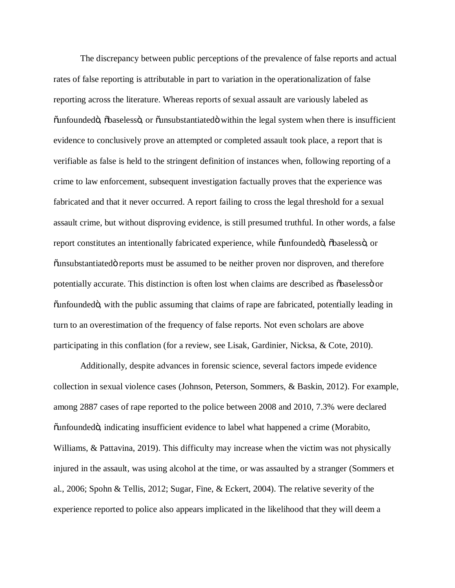The discrepancy between public perceptions of the prevalence of false reports and actual rates of false reporting is attributable in part to variation in the operationalization of false reporting across the literature. Whereas reports of sexual assault are variously labeled as "unfounded", "baseless", or "unsubstantiated" within the legal system when there is insufficient evidence to conclusively prove an attempted or completed assault took place, a report that is verifiable as false is held to the stringent definition of instances when, following reporting of a crime to law enforcement, subsequent investigation factually proves that the experience was fabricated and that it never occurred. A report failing to cross the legal threshold for a sexual assault crime, but without disproving evidence, is still presumed truthful. In other words, a false report constitutes an intentionally fabricated experience, while  $\ddot{\text{u}}$  and  $\ddot{\text{u}}$  and  $\ddot{\text{u}}$  and  $\ddot{\text{u}}$  or  $\ddot{\text{o}}$  unsubstantiated  $\ddot{\text{o}}$  reports must be assumed to be neither proven nor disproven, and therefore potentially accurate. This distinction is often lost when claims are described as  $\delta$ baseless $\ddot{\text{o}}$  or  $\ddot{\text{u}}$  cunfounded  $\ddot{\text{o}}$ , with the public assuming that claims of rape are fabricated, potentially leading in turn to an overestimation of the frequency of false reports. Not even scholars are above participating in this conflation (for a review, see Lisak, Gardinier, Nicksa, & Cote, 2010).

Additionally, despite advances in forensic science, several factors impede evidence collection in sexual violence cases (Johnson, Peterson, Sommers, & Baskin, 2012). For example, among 2887 cases of rape reported to the police between 2008 and 2010, 7.3% were declared "unfounded", indicating insufficient evidence to label what happened a crime (Morabito, Williams, & Pattavina, 2019). This difficulty may increase when the victim was not physically injured in the assault, was using alcohol at the time, or was assaulted by a stranger (Sommers et al., 2006; Spohn & Tellis, 2012; Sugar, Fine, & Eckert, 2004). The relative severity of the experience reported to police also appears implicated in the likelihood that they will deem a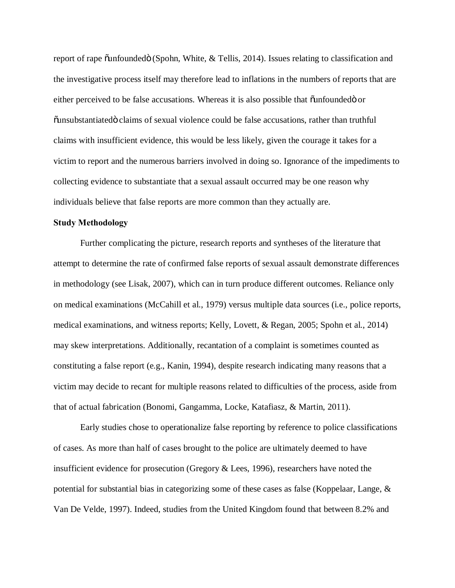report of rape  $\ddot{\text{a}}$  unfounded $\ddot{\text{o}}$  (Spohn, White,  $\&$  Tellis, 2014). Issues relating to classification and the investigative process itself may therefore lead to inflations in the numbers of reports that are either perceived to be false accusations. Whereas it is also possible that  $\ddot{o}$ unfounded $\ddot{o}$  or  $\ddot{\text{o}}$ unsubstantiated claims of sexual violence could be false accusations, rather than truthful claims with insufficient evidence, this would be less likely, given the courage it takes for a victim to report and the numerous barriers involved in doing so. Ignorance of the impediments to collecting evidence to substantiate that a sexual assault occurred may be one reason why individuals believe that false reports are more common than they actually are.

#### **Study Methodology**

Further complicating the picture, research reports and syntheses of the literature that attempt to determine the rate of confirmed false reports of sexual assault demonstrate differences in methodology (see Lisak, 2007), which can in turn produce different outcomes. Reliance only on medical examinations (McCahill et al., 1979) versus multiple data sources (i.e., police reports, medical examinations, and witness reports; Kelly, Lovett, & Regan, 2005; Spohn et al., 2014) may skew interpretations. Additionally, recantation of a complaint is sometimes counted as constituting a false report (e.g., Kanin, 1994), despite research indicating many reasons that a victim may decide to recant for multiple reasons related to difficulties of the process, aside from that of actual fabrication (Bonomi, Gangamma, Locke, Katafiasz, & Martin, 2011).

Early studies chose to operationalize false reporting by reference to police classifications of cases. As more than half of cases brought to the police are ultimately deemed to have insufficient evidence for prosecution (Gregory & Lees, 1996), researchers have noted the potential for substantial bias in categorizing some of these cases as false (Koppelaar, Lange, & Van De Velde, 1997). Indeed, studies from the United Kingdom found that between 8.2% and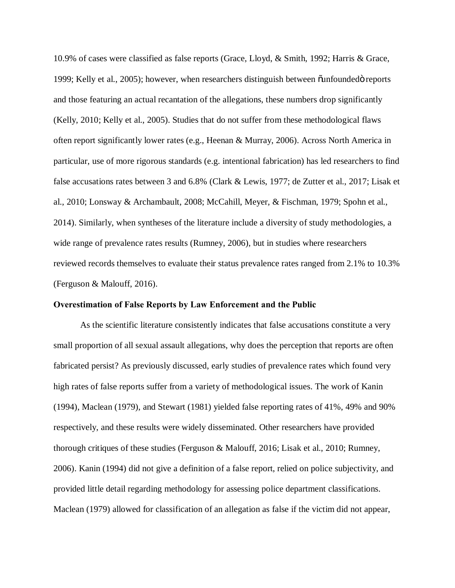10.9% of cases were classified as false reports (Grace, Lloyd, & Smith, 1992; Harris & Grace, 1999; Kelly et al., 2005); however, when researchers distinguish between  $\tilde{o}$ unfounded $\tilde{o}$  reports and those featuring an actual recantation of the allegations, these numbers drop significantly (Kelly, 2010; Kelly et al., 2005). Studies that do not suffer from these methodological flaws often report significantly lower rates (e.g., Heenan & Murray, 2006). Across North America in particular, use of more rigorous standards (e.g. intentional fabrication) has led researchers to find false accusations rates between 3 and 6.8% (Clark & Lewis, 1977; de Zutter et al., 2017; Lisak et al., 2010; Lonsway & Archambault, 2008; McCahill, Meyer, & Fischman, 1979; Spohn et al., 2014). Similarly, when syntheses of the literature include a diversity of study methodologies, a wide range of prevalence rates results (Rumney, 2006), but in studies where researchers reviewed records themselves to evaluate their status prevalence rates ranged from 2.1% to 10.3% (Ferguson & Malouff, 2016).

#### **Overestimation of False Reports by Law Enforcement and the Public**

As the scientific literature consistently indicates that false accusations constitute a very small proportion of all sexual assault allegations, why does the perception that reports are often fabricated persist? As previously discussed, early studies of prevalence rates which found very high rates of false reports suffer from a variety of methodological issues. The work of Kanin (1994), Maclean (1979), and Stewart (1981) yielded false reporting rates of 41%, 49% and 90% respectively, and these results were widely disseminated. Other researchers have provided thorough critiques of these studies (Ferguson & Malouff, 2016; Lisak et al., 2010; Rumney, 2006). Kanin (1994) did not give a definition of a false report, relied on police subjectivity, and provided little detail regarding methodology for assessing police department classifications. Maclean (1979) allowed for classification of an allegation as false if the victim did not appear,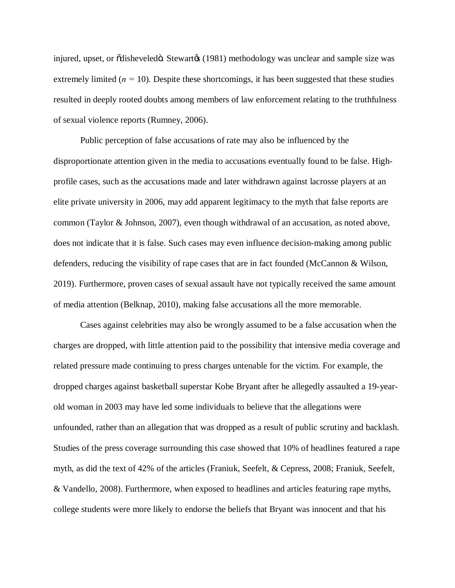injured, upset, or  $\tilde{\text{odis}}$ heveled $\ddot{\text{o}}$ . Stewart $\alpha$  (1981) methodology was unclear and sample size was extremely limited ( $n = 10$ ). Despite these shortcomings, it has been suggested that these studies resulted in deeply rooted doubts among members of law enforcement relating to the truthfulness of sexual violence reports (Rumney, 2006).

Public perception of false accusations of rate may also be influenced by the disproportionate attention given in the media to accusations eventually found to be false. Highprofile cases, such as the accusations made and later withdrawn against lacrosse players at an elite private university in 2006, may add apparent legitimacy to the myth that false reports are common (Taylor & Johnson, 2007), even though withdrawal of an accusation, as noted above, does not indicate that it is false. Such cases may even influence decision-making among public defenders, reducing the visibility of rape cases that are in fact founded (McCannon & Wilson, 2019). Furthermore, proven cases of sexual assault have not typically received the same amount of media attention (Belknap, 2010), making false accusations all the more memorable.

Cases against celebrities may also be wrongly assumed to be a false accusation when the charges are dropped, with little attention paid to the possibility that intensive media coverage and related pressure made continuing to press charges untenable for the victim. For example, the dropped charges against basketball superstar Kobe Bryant after he allegedly assaulted a 19-yearold woman in 2003 may have led some individuals to believe that the allegations were unfounded, rather than an allegation that was dropped as a result of public scrutiny and backlash. Studies of the press coverage surrounding this case showed that 10% of headlines featured a rape myth, as did the text of 42% of the articles (Franiuk, Seefelt, & Cepress, 2008; Franiuk, Seefelt, & Vandello, 2008). Furthermore, when exposed to headlines and articles featuring rape myths, college students were more likely to endorse the beliefs that Bryant was innocent and that his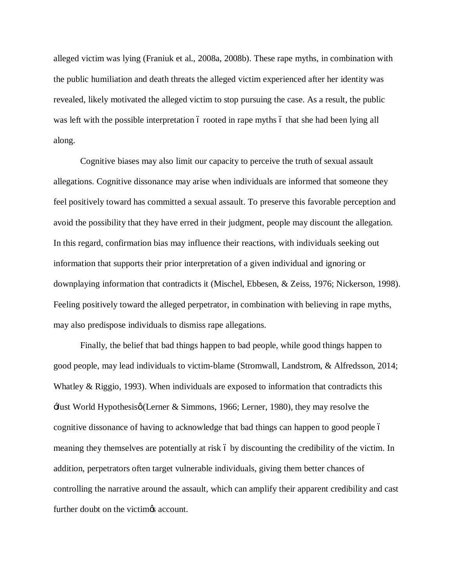alleged victim was lying (Franiuk et al., 2008a, 2008b). These rape myths, in combination with the public humiliation and death threats the alleged victim experienced after her identity was revealed, likely motivated the alleged victim to stop pursuing the case. As a result, the public was left with the possible interpretation 6 rooted in rape myths 6 that she had been lying all along.

Cognitive biases may also limit our capacity to perceive the truth of sexual assault allegations. Cognitive dissonance may arise when individuals are informed that someone they feel positively toward has committed a sexual assault. To preserve this favorable perception and avoid the possibility that they have erred in their judgment, people may discount the allegation. In this regard, confirmation bias may influence their reactions, with individuals seeking out information that supports their prior interpretation of a given individual and ignoring or downplaying information that contradicts it (Mischel, Ebbesen, & Zeiss, 1976; Nickerson, 1998). Feeling positively toward the alleged perpetrator, in combination with believing in rape myths, may also predispose individuals to dismiss rape allegations.

Finally, the belief that bad things happen to bad people, while good things happen to good people, may lead individuals to victim-blame (Stromwall, Landstrom, & Alfredsson, 2014; Whatley  $\&$  Riggio, 1993). When individuals are exposed to information that contradicts this  $\exists$ ust World Hypothesisø(Lerner & Simmons, 1966; Lerner, 1980), they may resolve the cognitive dissonance of having to acknowledge that bad things can happen to good people 6 meaning they themselves are potentially at risk 6 by discounting the credibility of the victim. In addition, perpetrators often target vulnerable individuals, giving them better chances of controlling the narrative around the assault, which can amplify their apparent credibility and cast further doubt on the victimes account.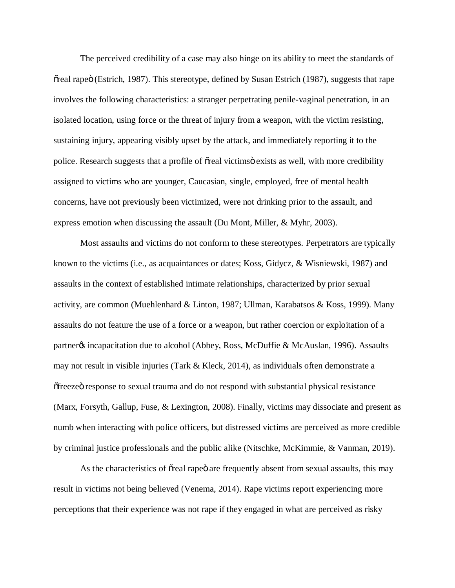The perceived credibility of a case may also hinge on its ability to meet the standards of  $\tilde{\sigma}$  real rape  $\tilde{\sigma}$  (Estrich, 1987). This stereotype, defined by Susan Estrich (1987), suggests that rape involves the following characteristics: a stranger perpetrating penile-vaginal penetration, in an isolated location, using force or the threat of injury from a weapon, with the victim resisting, sustaining injury, appearing visibly upset by the attack, and immediately reporting it to the police. Research suggests that a profile of  $\tilde{\sigma}$  real victims exists as well, with more credibility assigned to victims who are younger, Caucasian, single, employed, free of mental health concerns, have not previously been victimized, were not drinking prior to the assault, and express emotion when discussing the assault (Du Mont, Miller, & Myhr, 2003).

Most assaults and victims do not conform to these stereotypes. Perpetrators are typically known to the victims (i.e., as acquaintances or dates; Koss, Gidycz, & Wisniewski, 1987) and assaults in the context of established intimate relationships, characterized by prior sexual activity, are common (Muehlenhard & Linton, 1987; Ullman, Karabatsos & Koss, 1999). Many assaults do not feature the use of a force or a weapon, but rather coercion or exploitation of a partner<sub>%</sub> incapacitation due to alcohol (Abbey, Ross, McDuffie & McAuslan, 1996). Assaults may not result in visible injuries (Tark & Kleck, 2014), as individuals often demonstrate a  $\delta$  freeze  $\ddot{\sigma}$  response to sexual trauma and do not respond with substantial physical resistance (Marx, Forsyth, Gallup, Fuse, & Lexington, 2008). Finally, victims may dissociate and present as numb when interacting with police officers, but distressed victims are perceived as more credible by criminal justice professionals and the public alike (Nitschke, McKimmie, & Vanman, 2019).

As the characteristics of  $\tilde{\sigma}$  real rape are frequently absent from sexual assaults, this may result in victims not being believed (Venema, 2014). Rape victims report experiencing more perceptions that their experience was not rape if they engaged in what are perceived as risky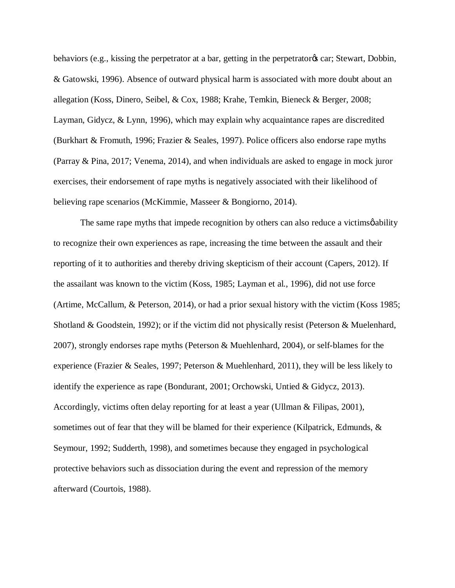behaviors (e.g., kissing the perpetrator at a bar, getting in the perpetrator as car; Stewart, Dobbin, & Gatowski, 1996). Absence of outward physical harm is associated with more doubt about an allegation (Koss, Dinero, Seibel, & Cox, 1988; Krahe, Temkin, Bieneck & Berger, 2008; Layman, Gidycz, & Lynn, 1996), which may explain why acquaintance rapes are discredited (Burkhart & Fromuth, 1996; Frazier & Seales, 1997). Police officers also endorse rape myths (Parray & Pina, 2017; Venema, 2014), and when individuals are asked to engage in mock juror exercises, their endorsement of rape myths is negatively associated with their likelihood of believing rape scenarios (McKimmie, Masseer & Bongiorno, 2014).

The same rape myths that impede recognition by others can also reduce a victims  $\phi$  ability to recognize their own experiences as rape, increasing the time between the assault and their reporting of it to authorities and thereby driving skepticism of their account (Capers, 2012). If the assailant was known to the victim (Koss, 1985; Layman et al., 1996), did not use force (Artime, McCallum, & Peterson, 2014), or had a prior sexual history with the victim (Koss 1985; Shotland & Goodstein, 1992); or if the victim did not physically resist (Peterson & Muelenhard, 2007), strongly endorses rape myths (Peterson & Muehlenhard, 2004), or self-blames for the experience (Frazier & Seales, 1997; Peterson & Muehlenhard, 2011), they will be less likely to identify the experience as rape (Bondurant, 2001; Orchowski, Untied & Gidycz, 2013). Accordingly, victims often delay reporting for at least a year (Ullman & Filipas, 2001), sometimes out of fear that they will be blamed for their experience (Kilpatrick, Edmunds,  $\&$ Seymour, 1992; Sudderth, 1998), and sometimes because they engaged in psychological protective behaviors such as dissociation during the event and repression of the memory afterward (Courtois, 1988).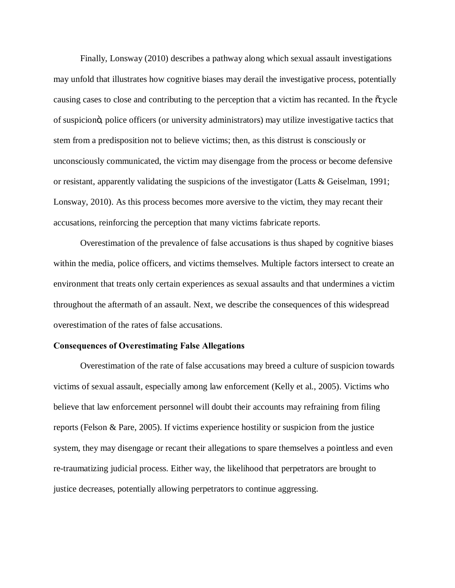Finally, Lonsway (2010) describes a pathway along which sexual assault investigations may unfold that illustrates how cognitive biases may derail the investigative process, potentially causing cases to close and contributing to the perception that a victim has recanted. In the  $\alpha$  cycle of suspicion", police officers (or university administrators) may utilize investigative tactics that stem from a predisposition not to believe victims; then, as this distrust is consciously or unconsciously communicated, the victim may disengage from the process or become defensive or resistant, apparently validating the suspicions of the investigator (Latts & Geiselman, 1991; Lonsway, 2010). As this process becomes more aversive to the victim, they may recant their accusations, reinforcing the perception that many victims fabricate reports.

Overestimation of the prevalence of false accusations is thus shaped by cognitive biases within the media, police officers, and victims themselves. Multiple factors intersect to create an environment that treats only certain experiences as sexual assaults and that undermines a victim throughout the aftermath of an assault. Next, we describe the consequences of this widespread overestimation of the rates of false accusations.

#### **Consequences of Overestimating False Allegations**

Overestimation of the rate of false accusations may breed a culture of suspicion towards victims of sexual assault, especially among law enforcement (Kelly et al., 2005). Victims who believe that law enforcement personnel will doubt their accounts may refraining from filing reports (Felson & Pare, 2005). If victims experience hostility or suspicion from the justice system, they may disengage or recant their allegations to spare themselves a pointless and even re-traumatizing judicial process. Either way, the likelihood that perpetrators are brought to justice decreases, potentially allowing perpetrators to continue aggressing.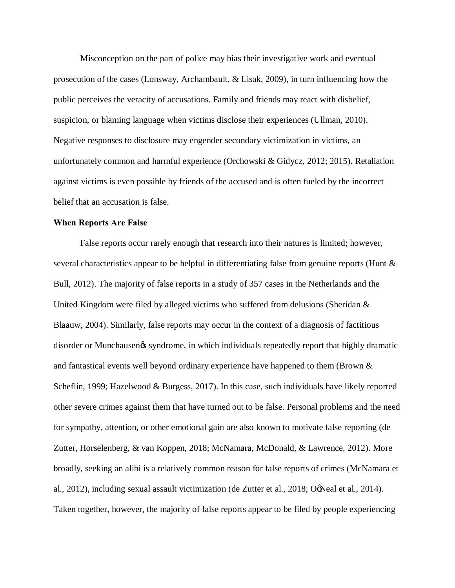Misconception on the part of police may bias their investigative work and eventual prosecution of the cases (Lonsway, Archambault, & Lisak, 2009), in turn influencing how the public perceives the veracity of accusations. Family and friends may react with disbelief, suspicion, or blaming language when victims disclose their experiences (Ullman, 2010). Negative responses to disclosure may engender secondary victimization in victims, an unfortunately common and harmful experience (Orchowski & Gidycz, 2012; 2015). Retaliation against victims is even possible by friends of the accused and is often fueled by the incorrect belief that an accusation is false.

#### **When Reports Are False**

False reports occur rarely enough that research into their natures is limited; however, several characteristics appear to be helpful in differentiating false from genuine reports (Hunt & Bull, 2012). The majority of false reports in a study of 357 cases in the Netherlands and the United Kingdom were filed by alleged victims who suffered from delusions (Sheridan & Blaauw, 2004). Similarly, false reports may occur in the context of a diagnosis of factitious disorder or Munchausen et syndrome, in which individuals repeatedly report that highly dramatic and fantastical events well beyond ordinary experience have happened to them (Brown & Scheflin, 1999; Hazelwood & Burgess, 2017). In this case, such individuals have likely reported other severe crimes against them that have turned out to be false. Personal problems and the need for sympathy, attention, or other emotional gain are also known to motivate false reporting (de Zutter, Horselenberg, & van Koppen, 2018; McNamara, McDonald, & Lawrence, 2012). More broadly, seeking an alibi is a relatively common reason for false reports of crimes (McNamara et al., 2012), including sexual assault victimization (de Zutter et al., 2018; OgNeal et al., 2014). Taken together, however, the majority of false reports appear to be filed by people experiencing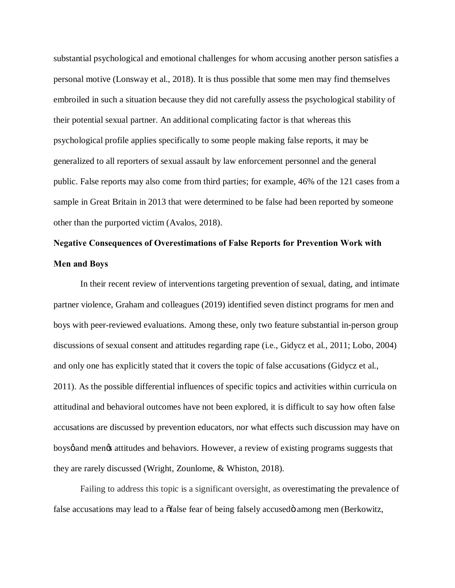substantial psychological and emotional challenges for whom accusing another person satisfies a personal motive (Lonsway et al., 2018). It is thus possible that some men may find themselves embroiled in such a situation because they did not carefully assess the psychological stability of their potential sexual partner. An additional complicating factor is that whereas this psychological profile applies specifically to some people making false reports, it may be generalized to all reporters of sexual assault by law enforcement personnel and the general public. False reports may also come from third parties; for example, 46% of the 121 cases from a sample in Great Britain in 2013 that were determined to be false had been reported by someone other than the purported victim (Avalos, 2018).

# **Negative Consequences of Overestimations of False Reports for Prevention Work with Men and Boys**

In their recent review of interventions targeting prevention of sexual, dating, and intimate partner violence, Graham and colleagues (2019) identified seven distinct programs for men and boys with peer-reviewed evaluations. Among these, only two feature substantial in-person group discussions of sexual consent and attitudes regarding rape (i.e., Gidycz et al., 2011; Lobo, 2004) and only one has explicitly stated that it covers the topic of false accusations (Gidycz et al., 2011). As the possible differential influences of specific topics and activities within curricula on attitudinal and behavioral outcomes have not been explored, it is difficult to say how often false accusations are discussed by prevention educators, nor what effects such discussion may have on boys g and mengs attitudes and behaviors. However, a review of existing programs suggests that they are rarely discussed (Wright, Zounlome, & Whiston, 2018).

Failing to address this topic is a significant oversight, as overestimating the prevalence of false accusations may lead to a  $\delta$  false fear of being falsely accused among men (Berkowitz,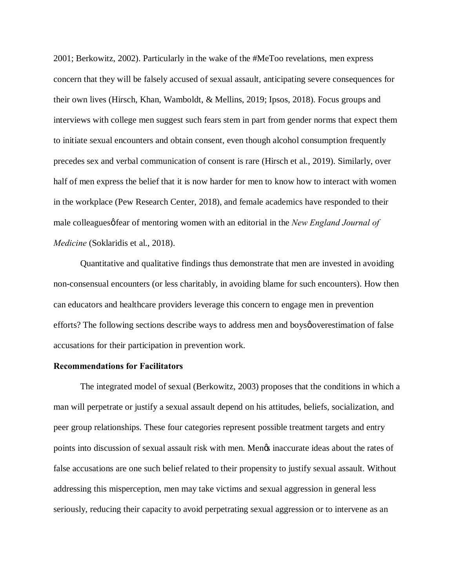2001; Berkowitz, 2002). Particularly in the wake of the #MeToo revelations, men express concern that they will be falsely accused of sexual assault, anticipating severe consequences for their own lives (Hirsch, Khan, Wamboldt, & Mellins, 2019; Ipsos, 2018). Focus groups and interviews with college men suggest such fears stem in part from gender norms that expect them to initiate sexual encounters and obtain consent, even though alcohol consumption frequently precedes sex and verbal communication of consent is rare (Hirsch et al., 2019). Similarly, over half of men express the belief that it is now harder for men to know how to interact with women in the workplace (Pew Research Center, 2018), and female academics have responded to their male colleagues of ear of mentoring women with an editorial in the *New England Journal of Medicine* (Soklaridis et al., 2018).

Quantitative and qualitative findings thus demonstrate that men are invested in avoiding non-consensual encounters (or less charitably, in avoiding blame for such encounters). How then can educators and healthcare providers leverage this concern to engage men in prevention efforts? The following sections describe ways to address men and boys gover estimation of false accusations for their participation in prevention work.

#### **Recommendations for Facilitators**

The integrated model of sexual (Berkowitz, 2003) proposes that the conditions in which a man will perpetrate or justify a sexual assault depend on his attitudes, beliefs, socialization, and peer group relationships. These four categories represent possible treatment targets and entry points into discussion of sexual assault risk with men. Mengs inaccurate ideas about the rates of false accusations are one such belief related to their propensity to justify sexual assault. Without addressing this misperception, men may take victims and sexual aggression in general less seriously, reducing their capacity to avoid perpetrating sexual aggression or to intervene as an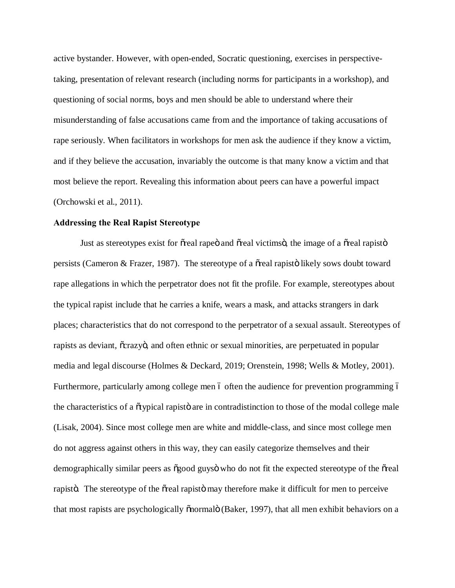active bystander. However, with open-ended, Socratic questioning, exercises in perspectivetaking, presentation of relevant research (including norms for participants in a workshop), and questioning of social norms, boys and men should be able to understand where their misunderstanding of false accusations came from and the importance of taking accusations of rape seriously. When facilitators in workshops for men ask the audience if they know a victim, and if they believe the accusation, invariably the outcome is that many know a victim and that most believe the report. Revealing this information about peers can have a powerful impact (Orchowski et al., 2011).

#### **Addressing the Real Rapist Stereotype**

Just as stereotypes exist for os real rape and os real victims of the image of a oscilar rapisto persists (Cameron & Frazer, 1987). The stereotype of a  $\tilde{\text{o}}$  real rapisto likely sows doubt toward rape allegations in which the perpetrator does not fit the profile. For example, stereotypes about the typical rapist include that he carries a knife, wears a mask, and attacks strangers in dark places; characteristics that do not correspond to the perpetrator of a sexual assault. Stereotypes of rapists as deviant,  $\tilde{c}$ crazyo, and often ethnic or sexual minorities, are perpetuated in popular media and legal discourse (Holmes & Deckard, 2019; Orenstein, 1998; Wells & Motley, 2001). Furthermore, particularly among college men 6 often the audience for prevention programming 6 the characteristics of a  $\tilde{\sigma}$  typical rapisto are in contradistinction to those of the modal college male (Lisak, 2004). Since most college men are white and middle-class, and since most college men do not aggress against others in this way, they can easily categorize themselves and their demographically similar peers as  $\delta$ good guys $\ddot{\text{o}}$  who do not fit the expected stereotype of the  $\delta$ real rapisto. The stereotype of the osteal rapisto may therefore make it difficult for men to perceive that most rapists are psychologically  $\tilde{\text{onormal}}$  (Baker, 1997), that all men exhibit behaviors on a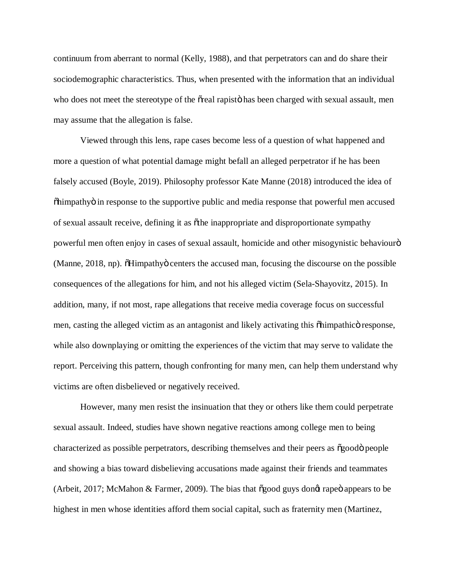continuum from aberrant to normal (Kelly, 1988), and that perpetrators can and do share their sociodemographic characteristics. Thus, when presented with the information that an individual who does not meet the stereotype of the  $\tilde{\alpha}$  real rapist has been charged with sexual assault, men may assume that the allegation is false.

Viewed through this lens, rape cases become less of a question of what happened and more a question of what potential damage might befall an alleged perpetrator if he has been falsely accused (Boyle, 2019). Philosophy professor Kate Manne (2018) introduced the idea of  $\delta$ himpathy $\ddot{\sigma}$  in response to the supportive public and media response that powerful men accused of sexual assault receive, defining it as "the inappropriate and disproportionate sympathy powerful men often enjoy in cases of sexual assault, homicide and other misogynistic behaviouro (Manne, 2018, np). The Himpathy centers the accused man, focusing the discourse on the possible consequences of the allegations for him, and not his alleged victim (Sela-Shayovitz, 2015). In addition, many, if not most, rape allegations that receive media coverage focus on successful men, casting the alleged victim as an antagonist and likely activating this  $\delta$ himpathic $\delta$  response, while also downplaying or omitting the experiences of the victim that may serve to validate the report. Perceiving this pattern, though confronting for many men, can help them understand why victims are often disbelieved or negatively received.

However, many men resist the insinuation that they or others like them could perpetrate sexual assault. Indeed, studies have shown negative reactions among college men to being characterized as possible perpetrators, describing themselves and their peers as  $\delta$ good $\delta$  people and showing a bias toward disbelieving accusations made against their friends and teammates (Arbeit, 2017; McMahon & Farmer, 2009). The bias that  $\delta$ good guys dong rape appears to be highest in men whose identities afford them social capital, such as fraternity men (Martinez,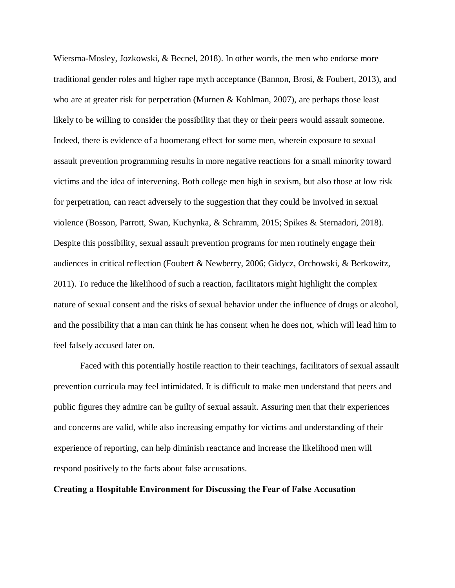Wiersma-Mosley, Jozkowski, & Becnel, 2018). In other words, the men who endorse more traditional gender roles and higher rape myth acceptance (Bannon, Brosi, & Foubert, 2013), and who are at greater risk for perpetration (Murnen & Kohlman, 2007), are perhaps those least likely to be willing to consider the possibility that they or their peers would assault someone. Indeed, there is evidence of a boomerang effect for some men, wherein exposure to sexual assault prevention programming results in more negative reactions for a small minority toward victims and the idea of intervening. Both college men high in sexism, but also those at low risk for perpetration, can react adversely to the suggestion that they could be involved in sexual violence (Bosson, Parrott, Swan, Kuchynka, & Schramm, 2015; Spikes & Sternadori, 2018). Despite this possibility, sexual assault prevention programs for men routinely engage their audiences in critical reflection (Foubert & Newberry, 2006; Gidycz, Orchowski, & Berkowitz, 2011). To reduce the likelihood of such a reaction, facilitators might highlight the complex nature of sexual consent and the risks of sexual behavior under the influence of drugs or alcohol, and the possibility that a man can think he has consent when he does not, which will lead him to feel falsely accused later on.

Faced with this potentially hostile reaction to their teachings, facilitators of sexual assault prevention curricula may feel intimidated. It is difficult to make men understand that peers and public figures they admire can be guilty of sexual assault. Assuring men that their experiences and concerns are valid, while also increasing empathy for victims and understanding of their experience of reporting, can help diminish reactance and increase the likelihood men will respond positively to the facts about false accusations.

#### **Creating a Hospitable Environment for Discussing the Fear of False Accusation**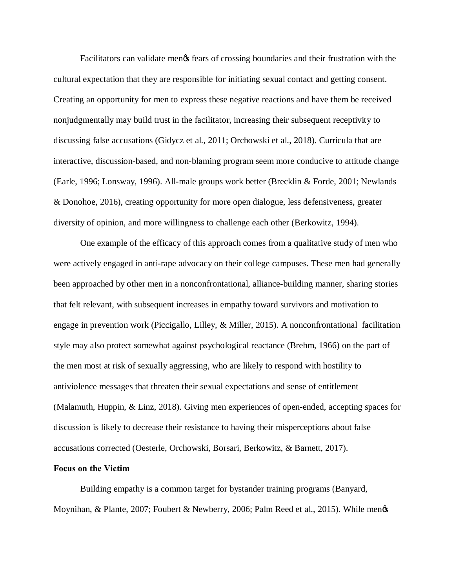Facilitators can validate menos fears of crossing boundaries and their frustration with the cultural expectation that they are responsible for initiating sexual contact and getting consent. Creating an opportunity for men to express these negative reactions and have them be received nonjudgmentally may build trust in the facilitator, increasing their subsequent receptivity to discussing false accusations (Gidycz et al., 2011; Orchowski et al., 2018). Curricula that are interactive, discussion-based, and non-blaming program seem more conducive to attitude change (Earle, 1996; Lonsway, 1996). All-male groups work better (Brecklin & Forde, 2001; Newlands & Donohoe, 2016), creating opportunity for more open dialogue, less defensiveness, greater diversity of opinion, and more willingness to challenge each other (Berkowitz, 1994).

One example of the efficacy of this approach comes from a qualitative study of men who were actively engaged in anti-rape advocacy on their college campuses. These men had generally been approached by other men in a nonconfrontational, alliance-building manner, sharing stories that felt relevant, with subsequent increases in empathy toward survivors and motivation to engage in prevention work (Piccigallo, Lilley, & Miller, 2015). A nonconfrontational facilitation style may also protect somewhat against psychological reactance (Brehm, 1966) on the part of the men most at risk of sexually aggressing, who are likely to respond with hostility to antiviolence messages that threaten their sexual expectations and sense of entitlement (Malamuth, Huppin, & Linz, 2018). Giving men experiences of open-ended, accepting spaces for discussion is likely to decrease their resistance to having their misperceptions about false accusations corrected (Oesterle, Orchowski, Borsari, Berkowitz, & Barnett, 2017).

#### **Focus on the Victim**

Building empathy is a common target for bystander training programs (Banyard, Moynihan, & Plante, 2007; Foubert & Newberry, 2006; Palm Reed et al., 2015). While men's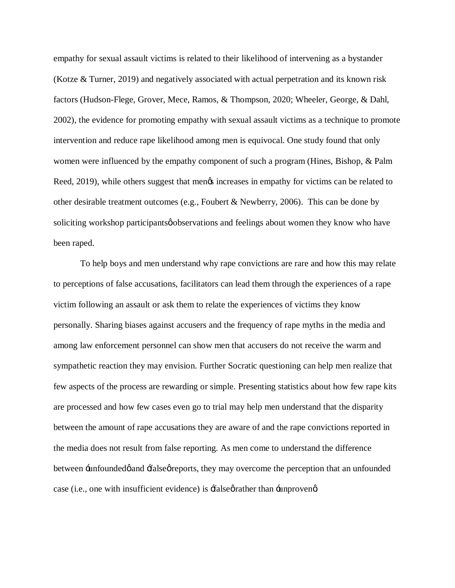empathy for sexual assault victims is related to their likelihood of intervening as a bystander (Kotze & Turner, 2019) and negatively associated with actual perpetration and its known risk factors (Hudson-Flege, Grover, Mece, Ramos, & Thompson, 2020; Wheeler, George, & Dahl, 2002), the evidence for promoting empathy with sexual assault victims as a technique to promote intervention and reduce rape likelihood among men is equivocal. One study found that only women were influenced by the empathy component of such a program (Hines, Bishop, & Palm Reed, 2019), while others suggest that mengs increases in empathy for victims can be related to other desirable treatment outcomes (e.g., Foubert & Newberry, 2006). This can be done by soliciting workshop participants observations and feelings about women they know who have been raped.

To help boys and men understand why rape convictions are rare and how this may relate to perceptions of false accusations, facilitators can lead them through the experiences of a rape victim following an assault or ask them to relate the experiences of victims they know personally. Sharing biases against accusers and the frequency of rape myths in the media and among law enforcement personnel can show men that accusers do not receive the warm and sympathetic reaction they may envision. Further Socratic questioning can help men realize that few aspects of the process are rewarding or simple. Presenting statistics about how few rape kits are processed and how few cases even go to trial may help men understand that the disparity between the amount of rape accusations they are aware of and the rape convictions reported in the media does not result from false reporting. As men come to understand the difference between -unfounded *g* and -false *g* reports, they may overcome the perception that an unfounded case (i.e., one with insufficient evidence) is  $\pm$ false $\varphi$  rather than  $\pm$ unproven $\varphi$ .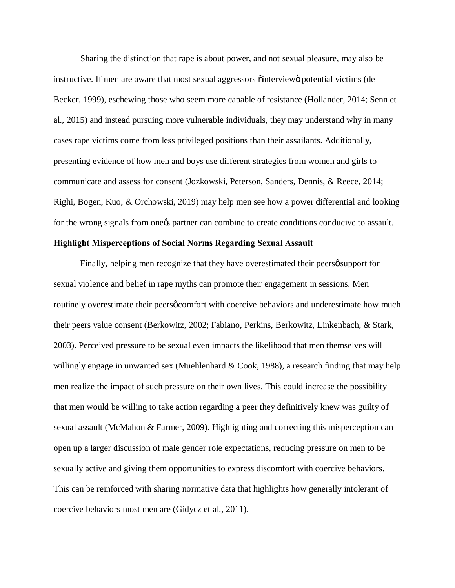Sharing the distinction that rape is about power, and not sexual pleasure, may also be instructive. If men are aware that most sexual aggressors  $\ddot{o}$  interview $\ddot{o}$  potential victims (de Becker, 1999), eschewing those who seem more capable of resistance (Hollander, 2014; Senn et al., 2015) and instead pursuing more vulnerable individuals, they may understand why in many cases rape victims come from less privileged positions than their assailants. Additionally, presenting evidence of how men and boys use different strategies from women and girls to communicate and assess for consent (Jozkowski, Peterson, Sanders, Dennis, & Reece, 2014; Righi, Bogen, Kuo, & Orchowski, 2019) may help men see how a power differential and looking for the wrong signals from one to partner can combine to create conditions conducive to assault.

#### **Highlight Misperceptions of Social Norms Regarding Sexual Assault**

Finally, helping men recognize that they have overestimated their peers psupport for sexual violence and belief in rape myths can promote their engagement in sessions. Men routinely overestimate their peers  $\phi$  comfort with coercive behaviors and underestimate how much their peers value consent (Berkowitz, 2002; Fabiano, Perkins, Berkowitz, Linkenbach, & Stark, 2003). Perceived pressure to be sexual even impacts the likelihood that men themselves will willingly engage in unwanted sex (Muehlenhard & Cook, 1988), a research finding that may help men realize the impact of such pressure on their own lives. This could increase the possibility that men would be willing to take action regarding a peer they definitively knew was guilty of sexual assault (McMahon & Farmer, 2009). Highlighting and correcting this misperception can open up a larger discussion of male gender role expectations, reducing pressure on men to be sexually active and giving them opportunities to express discomfort with coercive behaviors. This can be reinforced with sharing normative data that highlights how generally intolerant of coercive behaviors most men are (Gidycz et al., 2011).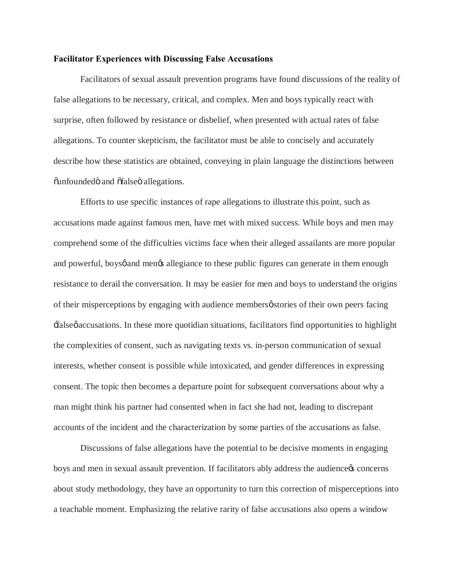#### **Facilitator Experiences with Discussing False Accusations**

Facilitators of sexual assault prevention programs have found discussions of the reality of false allegations to be necessary, critical, and complex. Men and boys typically react with surprise, often followed by resistance or disbelief, when presented with actual rates of false allegations. To counter skepticism, the facilitator must be able to concisely and accurately describe how these statistics are obtained, conveying in plain language the distinctions between  $\ddot{\text{u}}$  and  $\ddot{\text{u}}$  allegations.

Efforts to use specific instances of rape allegations to illustrate this point, such as accusations made against famous men, have met with mixed success. While boys and men may comprehend some of the difficulties victims face when their alleged assailants are more popular and powerful, boysø and menøs allegiance to these public figures can generate in them enough resistance to derail the conversation. It may be easier for men and boys to understand the origins of their misperceptions by engaging with audience members  $\phi$  stories of their own peers facing 'false' accusations. In these more quotidian situations, facilitators find opportunities to highlight the complexities of consent, such as navigating texts vs. in-person communication of sexual interests, whether consent is possible while intoxicated, and gender differences in expressing consent. The topic then becomes a departure point for subsequent conversations about why a man might think his partner had consented when in fact she had not, leading to discrepant accounts of the incident and the characterization by some parties of the accusations as false.

Discussions of false allegations have the potential to be decisive moments in engaging boys and men in sexual assault prevention. If facilitators ably address the audience to concerns about study methodology, they have an opportunity to turn this correction of misperceptions into a teachable moment. Emphasizing the relative rarity of false accusations also opens a window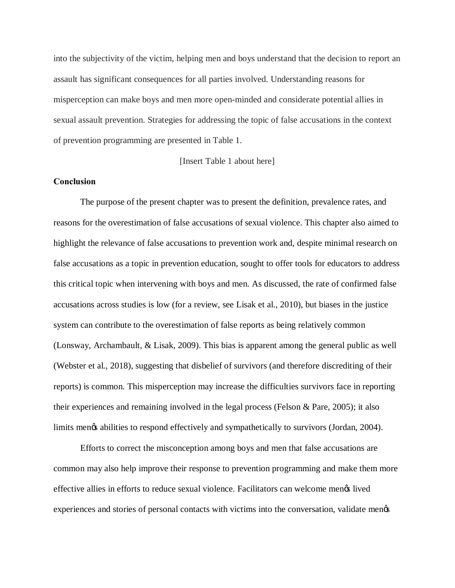into the subjectivity of the victim, helping men and boys understand that the decision to report an assault has significant consequences for all parties involved. Understanding reasons for misperception can make boys and men more open-minded and considerate potential allies in sexual assault prevention. Strategies for addressing the topic of false accusations in the context of prevention programming are presented in Table 1.

[Insert Table 1 about here]

#### **Conclusion**

The purpose of the present chapter was to present the definition, prevalence rates, and reasons for the overestimation of false accusations of sexual violence. This chapter also aimed to highlight the relevance of false accusations to prevention work and, despite minimal research on false accusations as a topic in prevention education, sought to offer tools for educators to address this critical topic when intervening with boys and men. As discussed, the rate of confirmed false accusations across studies is low (for a review, see Lisak et al., 2010), but biases in the justice system can contribute to the overestimation of false reports as being relatively common (Lonsway, Archambault, & Lisak, 2009). This bias is apparent among the general public as well (Webster et al., 2018), suggesting that disbelief of survivors (and therefore discrediting of their reports) is common. This misperception may increase the difficulties survivors face in reporting their experiences and remaining involved in the legal process (Felson & Pare, 2005); it also limits mengs abilities to respond effectively and sympathetically to survivors (Jordan, 2004).

Efforts to correct the misconception among boys and men that false accusations are common may also help improve their response to prevention programming and make them more effective allies in efforts to reduce sexual violence. Facilitators can welcome men's lived experiences and stories of personal contacts with victims into the conversation, validate mengs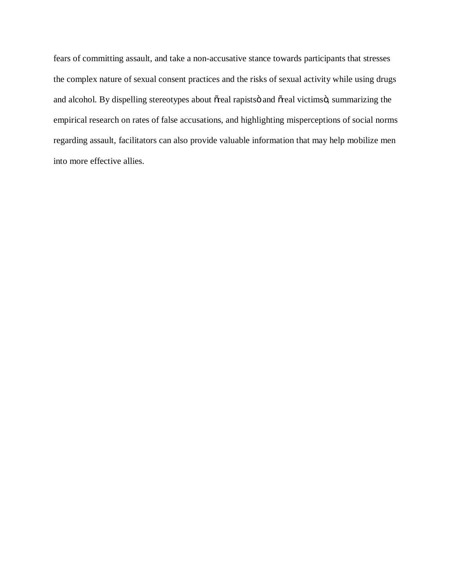fears of committing assault, and take a non-accusative stance towards participants that stresses the complex nature of sexual consent practices and the risks of sexual activity while using drugs and alcohol. By dispelling stereotypes about õreal rapistsö and õreal victimsö, summarizing the empirical research on rates of false accusations, and highlighting misperceptions of social norms regarding assault, facilitators can also provide valuable information that may help mobilize men into more effective allies.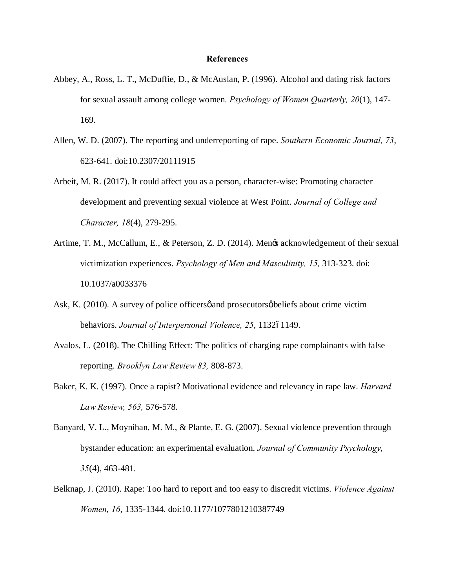#### **References**

- Abbey, A., Ross, L. T., McDuffie, D., & McAuslan, P. (1996). Alcohol and dating risk factors for sexual assault among college women. *Psychology of Women Quarterly, 20*(1), 147- 169.
- Allen, W. D. (2007). The reporting and underreporting of rape. *Southern Economic Journal, 73*, 623-641. doi:10.2307/20111915
- Arbeit, M. R. (2017). It could affect you as a person, character-wise: Promoting character development and preventing sexual violence at West Point. *Journal of College and Character, 18*(4), 279-295.
- Artime, T. M., McCallum, E., & Peterson, Z. D. (2014). Mengs acknowledgement of their sexual victimization experiences. *Psychology of Men and Masculinity, 15,* 313-323. doi: 10.1037/a0033376
- Ask, K. (2010). A survey of police officers pand prosecutors policies about crime victim behaviors. *Journal of Interpersonal Violence*, 25, 113261149.
- Avalos, L. (2018). The Chilling Effect: The politics of charging rape complainants with false reporting. *Brooklyn Law Review 83,* 808-873.
- Baker, K. K. (1997). Once a rapist? Motivational evidence and relevancy in rape law. *Harvard Law Review, 563,* 576-578.
- Banyard, V. L., Moynihan, M. M., & Plante, E. G. (2007). Sexual violence prevention through bystander education: an experimental evaluation. *Journal of Community Psychology, 35*(4), 463-481.
- Belknap, J. (2010). Rape: Too hard to report and too easy to discredit victims. *Violence Against Women, 16*, 1335-1344. doi:10.1177/1077801210387749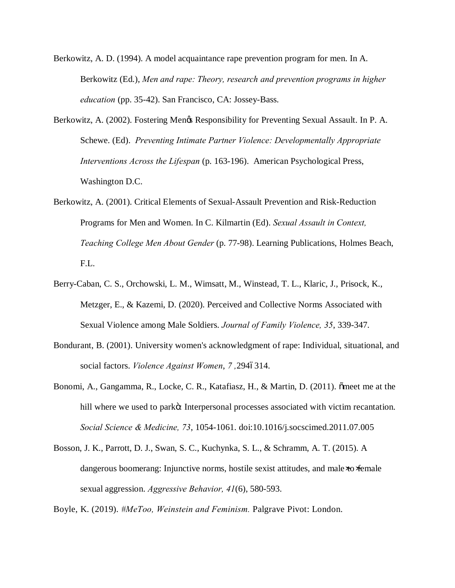- Berkowitz, A. D. (1994). A model acquaintance rape prevention program for men. In A. Berkowitz (Ed.), *Men and rape: Theory, research and prevention programs in higher education* (pp. 35-42). San Francisco, CA: Jossey-Bass.
- Berkowitz, A. (2002). Fostering Men $\alpha$  Responsibility for Preventing Sexual Assault. In P. A. Schewe. (Ed). *Preventing Intimate Partner Violence: Developmentally Appropriate Interventions Across the Lifespan* (p. 163-196). American Psychological Press, Washington D.C.
- Berkowitz, A. (2001). Critical Elements of Sexual-Assault Prevention and Risk-Reduction Programs for Men and Women. In C. Kilmartin (Ed). *Sexual Assault in Context, Teaching College Men About Gender* (p. 77-98). Learning Publications, Holmes Beach, F.L.
- Berry-Caban, C. S., Orchowski, L. M., Wimsatt, M., Winstead, T. L., Klaric, J., Prisock, K., Metzger, E., & Kazemi, D. (2020). Perceived and Collective Norms Associated with Sexual Violence among Male Soldiers. *Journal of Family Violence, 35*, 339-347.
- Bondurant, B. (2001). University women's acknowledgment of rape: Individual, situational, and social factors. *Violence Against Women*, 7,2946314.
- Bonomi, A., Gangamma, R., Locke, C. R., Katafiasz, H., & Martin, D. (2011). õmeet me at the hill where we used to parko: Interpersonal processes associated with victim recantation. *Social Science & Medicine, 73*, 1054-1061. doi:10.1016/j.socscimed.2011.07.005
- Bosson, J. K., Parrott, D. J., Swan, S. C., Kuchynka, S. L., & Schramm, A. T. (2015). A dangerous boomerang: Injunctive norms, hostile sexist attitudes, and male to female sexual aggression. *Aggressive Behavior, 41*(6), 580-593.

Boyle, K. (2019). *#MeToo, Weinstein and Feminism.* Palgrave Pivot: London.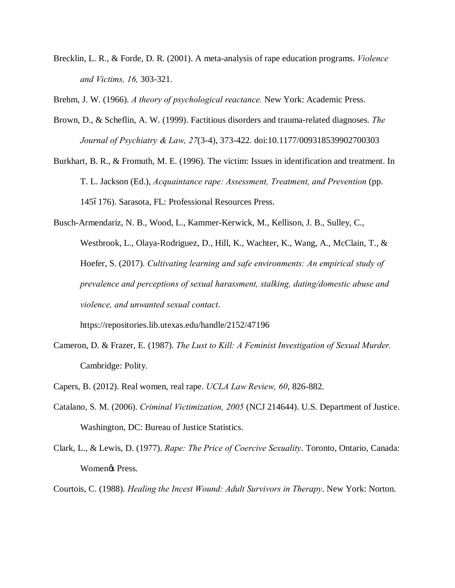Brecklin, L. R., & Forde, D. R. (2001). A meta-analysis of rape education programs. *Violence and Victims, 16,* 303-321.

Brehm, J. W. (1966). *A theory of psychological reactance.* New York: Academic Press.

- Brown, D., & Scheflin, A. W. (1999). Factitious disorders and trauma-related diagnoses. *The Journal of Psychiatry & Law, 27*(3-4), 373-422. doi:10.1177/009318539902700303
- Burkhart, B. R., & Fromuth, M. E. (1996). The victim: Issues in identification and treatment. In T. L. Jackson (Ed.), *Acquaintance rape: Assessment, Treatment, and Prevention* (pp. 1456176). Sarasota, FL: Professional Resources Press.
- Busch-Armendariz, N. B., Wood, L., Kammer-Kerwick, M., Kellison, J. B., Sulley, C., Westbrook, L., Olaya-Rodriguez, D., Hill, K., Wachter, K., Wang, A., McClain, T., & Hoefer, S. (2017). *Cultivating learning and safe environments: An empirical study of prevalence and perceptions of sexual harassment, stalking, dating/domestic abuse and violence, and unwanted sexual contact*.

https://repositories.lib.utexas.edu/handle/2152/47196

- Cameron, D. & Frazer, E. (1987). *The Lust to Kill: A Feminist Investigation of Sexual Murder.* Cambridge: Polity.
- Capers, B. (2012). Real women, real rape. *UCLA Law Review, 60*, 826-882.
- Catalano, S. M. (2006). *Criminal Victimization, 2005* (NCJ 214644). U.S. Department of Justice. Washington, DC: Bureau of Justice Statistics.
- Clark, L., & Lewis, D. (1977). *Rape: The Price of Coercive Sexuality*. Toronto, Ontario, Canada: Women<sub>®</sub> Press.
- Courtois, C. (1988). *Healing the Incest Wound: Adult Survivors in Therapy*. New York: Norton.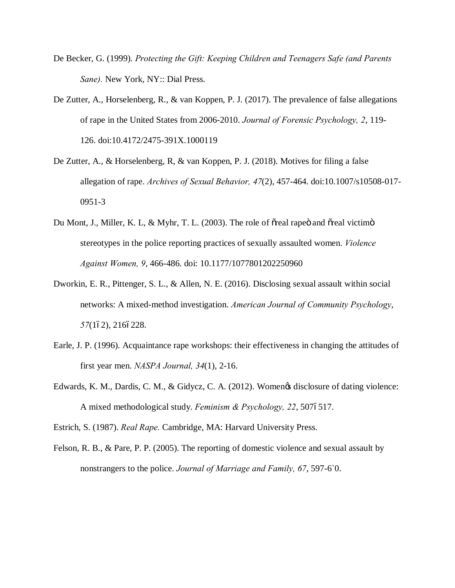- De Becker, G. (1999). *Protecting the Gift: Keeping Children and Teenagers Safe (and Parents Sane).* New York, NY:: Dial Press.
- De Zutter, A., Horselenberg, R., & van Koppen, P. J. (2017). The prevalence of false allegations of rape in the United States from 2006-2010. *Journal of Forensic Psychology, 2*, 119- 126. doi:10.4172/2475-391X.1000119
- De Zutter, A., & Horselenberg, R, & van Koppen, P. J. (2018). Motives for filing a false allegation of rape. *Archives of Sexual Behavior, 47*(2), 457-464. doi:10.1007/s10508-017- 0951-3
- Du Mont, J., Miller, K. L, & Myhr, T. L. (2003). The role of oreal rapeo and oreal victimo stereotypes in the police reporting practices of sexually assaulted women. *Violence Against Women, 9*, 466-486. doi: 10.1177/1077801202250960
- Dworkin, E. R., Pittenger, S. L., & Allen, N. E. (2016). Disclosing sexual assault within social networks: A mixed-method investigation. *American Journal of Community Psychology*, 57(162), 2166228.
- Earle, J. P. (1996). Acquaintance rape workshops: their effectiveness in changing the attitudes of first year men. *NASPA Journal, 34*(1), 2-16.
- Edwards, K. M., Dardis, C. M., & Gidycz, C. A. (2012). Women & disclosure of dating violence: A mixed methodological study. *Feminism & Psychology, 22*, 5076517.

Estrich, S. (1987). *Real Rape.* Cambridge, MA: Harvard University Press.

Felson, R. B., & Pare, P. P. (2005). The reporting of domestic violence and sexual assault by nonstrangers to the police. *Journal of Marriage and Family, 67*, 597-6`0.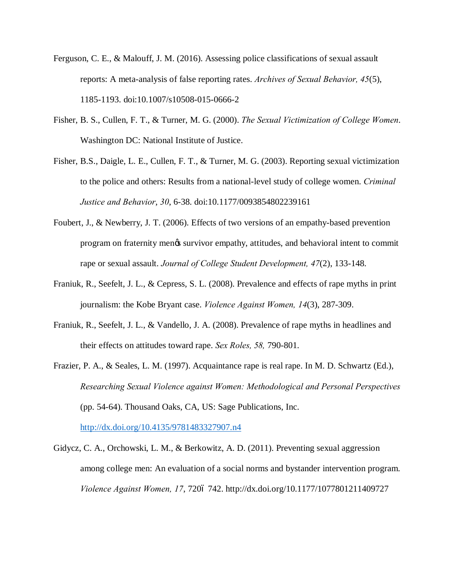- Ferguson, C. E., & Malouff, J. M. (2016). Assessing police classifications of sexual assault reports: A meta-analysis of false reporting rates. *Archives of Sexual Behavior, 45*(5), 1185-1193. doi:10.1007/s10508-015-0666-2
- Fisher, B. S., Cullen, F. T., & Turner, M. G. (2000). *The Sexual Victimization of College Women*. Washington DC: National Institute of Justice.
- Fisher, B.S., Daigle, L. E., Cullen, F. T., & Turner, M. G. (2003). Reporting sexual victimization to the police and others: Results from a national-level study of college women. *Criminal Justice and Behavior*, *30*, 6-38. doi:10.1177/0093854802239161
- Foubert, J., & Newberry, J. T. (2006). Effects of two versions of an empathy-based prevention program on fraternity men's survivor empathy, attitudes, and behavioral intent to commit rape or sexual assault. *Journal of College Student Development, 47*(2), 133-148.
- Franiuk, R., Seefelt, J. L., & Cepress, S. L. (2008). Prevalence and effects of rape myths in print journalism: the Kobe Bryant case. *Violence Against Women, 14*(3), 287-309.
- Franiuk, R., Seefelt, J. L., & Vandello, J. A. (2008). Prevalence of rape myths in headlines and their effects on attitudes toward rape. *Sex Roles, 58,* 790-801.
- Frazier, P. A., & Seales, L. M. (1997). Acquaintance rape is real rape. In M. D. Schwartz (Ed.), *Researching Sexual Violence against Women: Methodological and Personal Perspectives* (pp. 54-64). Thousand Oaks, CA, US: Sage Publications, Inc.

http://dx.doi.org/10.4135/9781483327907.n4

Gidycz, C. A., Orchowski, L. M., & Berkowitz, A. D. (2011). Preventing sexual aggression among college men: An evaluation of a social norms and bystander intervention program. *Violence Against Women, 17, 7206 742. http://dx.doi.org/10.1177/1077801211409727*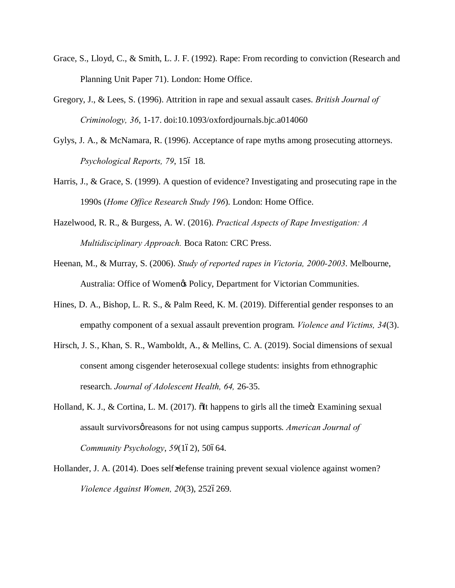- Grace, S., Lloyd, C., & Smith, L. J. F. (1992). Rape: From recording to conviction (Research and Planning Unit Paper 71). London: Home Office.
- Gregory, J., & Lees, S. (1996). Attrition in rape and sexual assault cases. *British Journal of Criminology, 36*, 1-17. doi:10.1093/oxfordjournals.bjc.a014060
- Gylys, J. A., & McNamara, R. (1996). Acceptance of rape myths among prosecuting attorneys. *Psychological Reports, 79, 156 18.*
- Harris, J., & Grace, S. (1999). A question of evidence? Investigating and prosecuting rape in the 1990s (*Home Office Research Study 196*). London: Home Office.
- Hazelwood, R. R., & Burgess, A. W. (2016). *Practical Aspects of Rape Investigation: A Multidisciplinary Approach.* Boca Raton: CRC Press.
- Heenan, M., & Murray, S. (2006). *Study of reported rapes in Victoria, 2000-2003*. Melbourne, Australia: Office of Women's Policy, Department for Victorian Communities.
- Hines, D. A., Bishop, L. R. S., & Palm Reed, K. M. (2019). Differential gender responses to an empathy component of a sexual assault prevention program. *Violence and Victims, 34*(3).
- Hirsch, J. S., Khan, S. R., Wamboldt, A., & Mellins, C. A. (2019). Social dimensions of sexual consent among cisgender heterosexual college students: insights from ethnographic research. *Journal of Adolescent Health, 64,* 26-35.
- Holland, K. J.,  $\&$  Cortina, L. M. (2017).  $\ddot{\text{o}}$  at happens to girls all the time $\ddot{\text{o}}$ : Examining sexual assault survivorsøreasons for not using campus supports. *American Journal of Community Psychology*, 59(162), 50664.
- Hollander, J. A. (2014). Does self defense training prevent sexual violence against women? *Violence Against Women, 20(3), 2526269.*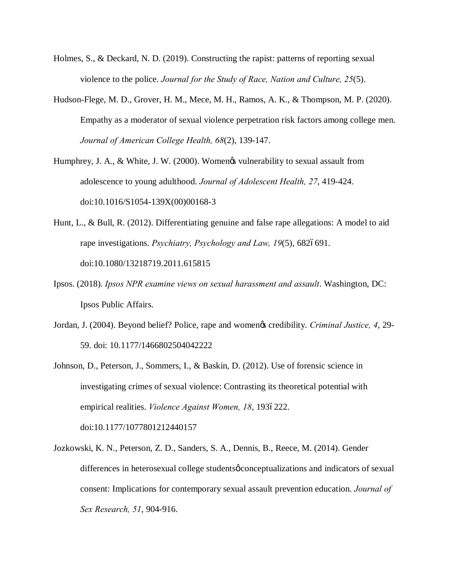- Holmes, S., & Deckard, N. D. (2019). Constructing the rapist: patterns of reporting sexual violence to the police. *Journal for the Study of Race, Nation and Culture, 25*(5).
- Hudson-Flege, M. D., Grover, H. M., Mece, M. H., Ramos, A. K., & Thompson, M. P. (2020). Empathy as a moderator of sexual violence perpetration risk factors among college men. *Journal of American College Health, 68*(2), 139-147.
- Humphrey, J. A., & White, J. W. (2000). Womengs vulnerability to sexual assault from adolescence to young adulthood. *Journal of Adolescent Health, 27*, 419-424. doi:10.1016/S1054-139X(00)00168-3
- Hunt, L., & Bull, R. (2012). Differentiating genuine and false rape allegations: A model to aid rape investigations. *Psychiatry, Psychology and Law, 19*(5), 6826691. doi:10.1080/13218719.2011.615815
- Ipsos. (2018). *Ipsos NPR examine views on sexual harassment and assault*. Washington, DC: Ipsos Public Affairs.
- Jordan, J. (2004). Beyond belief? Police, rape and women's credibility. *Criminal Justice, 4*, 29- 59. doi: 10.1177/1466802504042222
- Johnson, D., Peterson, J., Sommers, I., & Baskin, D. (2012). Use of forensic science in investigating crimes of sexual violence: Contrasting its theoretical potential with empirical realities. *Violence Against Women, 18*, 1936222. doi:10.1177/1077801212440157
- Jozkowski, K. N., Peterson, Z. D., Sanders, S. A., Dennis, B., Reece, M. (2014). Gender differences in heterosexual college students of conceptualizations and indicators of sexual consent: Implications for contemporary sexual assault prevention education. *Journal of Sex Research, 51*, 904-916.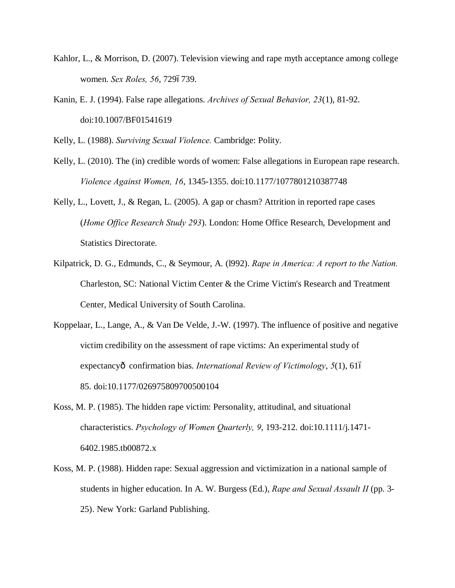- Kahlor, L., & Morrison, D. (2007). Television viewing and rape myth acceptance among college women. *Sex Roles*, 56, 7296739.
- Kanin, E. J. (1994). False rape allegations. *Archives of Sexual Behavior, 23*(1), 81-92. doi:10.1007/BF01541619

Kelly, L. (1988). *Surviving Sexual Violence.* Cambridge: Polity.

- Kelly, L. (2010). The (in) credible words of women: False allegations in European rape research. *Violence Against Women, 16*, 1345-1355. doi:10.1177/1077801210387748
- Kelly, L., Lovett, J., & Regan, L. (2005). A gap or chasm? Attrition in reported rape cases (*Home Office Research Study 293*). London: Home Office Research, Development and Statistics Directorate.
- Kilpatrick, D. G., Edmunds, C., & Seymour, A. (l992). *Rape in America: A report to the Nation.* Charleston, SC: National Victim Center & the Crime Victim's Research and Treatment Center, Medical University of South Carolina.
- Koppelaar, L., Lange, A., & Van De Velde, J.-W. (1997). The influence of positive and negative victim credibility on the assessment of rape victims: An experimental study of expectancyô confirmation bias. *International Review of Victimology*, *5*(1), 616 85. doi:10.1177/026975809700500104
- Koss, M. P. (1985). The hidden rape victim: Personality, attitudinal, and situational characteristics. *Psychology of Women Quarterly, 9*, 193-212. doi:10.1111/j.1471- 6402.1985.tb00872.x
- Koss, M. P. (1988). Hidden rape: Sexual aggression and victimization in a national sample of students in higher education. In A. W. Burgess (Ed.), *Rape and Sexual Assault II* (pp. 3- 25). New York: Garland Publishing.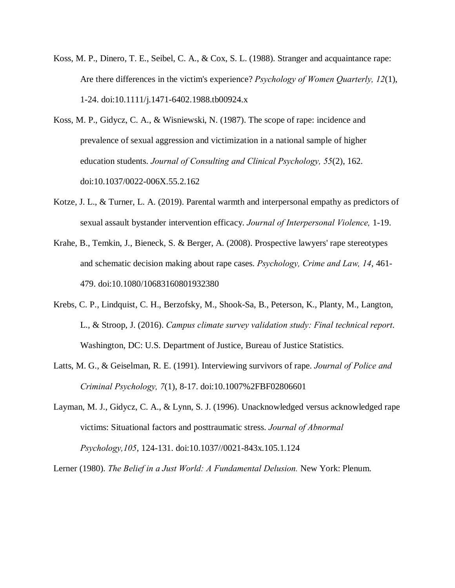- Koss, M. P., Dinero, T. E., Seibel, C. A., & Cox, S. L. (1988). Stranger and acquaintance rape: Are there differences in the victim's experience? *Psychology of Women Quarterly, 12*(1), 1-24. doi:10.1111/j.1471-6402.1988.tb00924.x
- Koss, M. P., Gidycz, C. A., & Wisniewski, N. (1987). The scope of rape: incidence and prevalence of sexual aggression and victimization in a national sample of higher education students. *Journal of Consulting and Clinical Psychology, 55*(2), 162. doi:10.1037/0022-006X.55.2.162
- Kotze, J. L., & Turner, L. A. (2019). Parental warmth and interpersonal empathy as predictors of sexual assault bystander intervention efficacy. *Journal of Interpersonal Violence,* 1-19.
- Krahe, B., Temkin, J., Bieneck, S. & Berger, A. (2008). Prospective lawyers' rape stereotypes and schematic decision making about rape cases. *Psychology, Crime and Law, 14*, 461- 479. doi:10.1080/10683160801932380
- Krebs, C. P., Lindquist, C. H., Berzofsky, M., Shook-Sa, B., Peterson, K., Planty, M., Langton, L., & Stroop, J. (2016). *Campus climate survey validation study: Final technical report*. Washington, DC: U.S. Department of Justice, Bureau of Justice Statistics.
- Latts, M. G., & Geiselman, R. E. (1991). Interviewing survivors of rape. *Journal of Police and Criminal Psychology, 7*(1), 8-17. doi:10.1007%2FBF02806601
- Layman, M. J., Gidycz, C. A., & Lynn, S. J. (1996). Unacknowledged versus acknowledged rape victims: Situational factors and posttraumatic stress. *Journal of Abnormal Psychology,105*, 124-131. doi:10.1037//0021-843x.105.1.124

Lerner (1980). *The Belief in a Just World: A Fundamental Delusion.* New York: Plenum.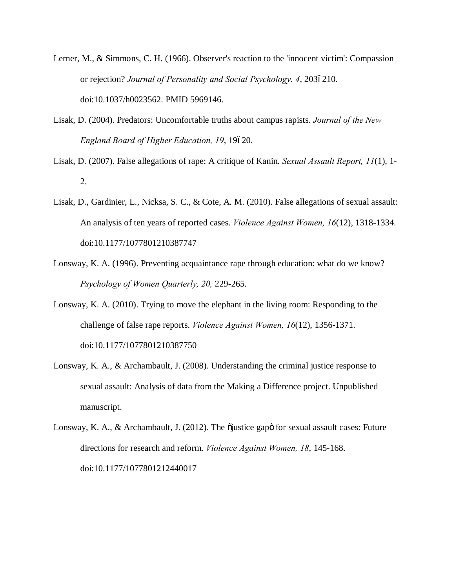- Lerner, M., & Simmons, C. H. (1966). Observer's reaction to the 'innocent victim': Compassion or rejection? *Journal of Personality and Social Psychology. 4, 2036210.* doi:10.1037/h0023562. PMID 5969146.
- Lisak, D. (2004). Predators: Uncomfortable truths about campus rapists. *Journal of the New England Board of Higher Education, 19, 19620.*
- Lisak, D. (2007). False allegations of rape: A critique of Kanin. *Sexual Assault Report, 11*(1), 1- 2.
- Lisak, D., Gardinier, L., Nicksa, S. C., & Cote, A. M. (2010). False allegations of sexual assault: An analysis of ten years of reported cases. *Violence Against Women, 16*(12), 1318-1334. doi:10.1177/1077801210387747
- Lonsway, K. A. (1996). Preventing acquaintance rape through education: what do we know? *Psychology of Women Quarterly, 20,* 229-265.
- Lonsway, K. A. (2010). Trying to move the elephant in the living room: Responding to the challenge of false rape reports. *Violence Against Women, 16*(12), 1356-1371. doi:10.1177/1077801210387750
- Lonsway, K. A., & Archambault, J. (2008). Understanding the criminal justice response to sexual assault: Analysis of data from the Making a Difference project. Unpublished manuscript.
- Lonsway, K. A., & Archambault, J. (2012). The õjustice gapö for sexual assault cases: Future directions for research and reform. *Violence Against Women, 18*, 145-168. doi:10.1177/1077801212440017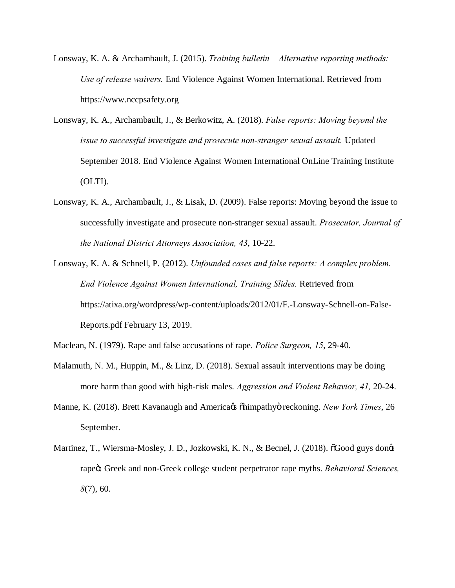- Lonsway, K. A. & Archambault, J. (2015). *Training bulletin – Alternative reporting methods: Use of release waivers.* End Violence Against Women International. Retrieved from https://www.nccpsafety.org
- Lonsway, K. A., Archambault, J., & Berkowitz, A. (2018). *False reports: Moving beyond the issue to successful investigate and prosecute non-stranger sexual assault.* Updated September 2018. End Violence Against Women International OnLine Training Institute (OLTI).
- Lonsway, K. A., Archambault, J., & Lisak, D. (2009). False reports: Moving beyond the issue to successfully investigate and prosecute non-stranger sexual assault. *Prosecutor, Journal of the National District Attorneys Association, 43*, 10-22.
- Lonsway, K. A. & Schnell, P. (2012). *Unfounded cases and false reports: A complex problem. End Violence Against Women International, Training Slides.* Retrieved from https://atixa.org/wordpress/wp-content/uploads/2012/01/F.-Lonsway-Schnell-on-False-Reports.pdf February 13, 2019.
- Maclean, N. (1979). Rape and false accusations of rape. *Police Surgeon, 15*, 29-40.
- Malamuth, N. M., Huppin, M., & Linz, D. (2018). Sexual assault interventions may be doing more harm than good with high-risk males. *Aggression and Violent Behavior, 41,* 20-24.
- Manne, K. (2018). Brett Kavanaugh and America e *Shimpathyö reckoning. New York Times*, 26 September.
- Martinez, T., Wiersma-Mosley, J. D., Jozkowski, K. N., & Becnel, J. (2018).  $\delta$ Good guys dongt rapeö: Greek and non-Greek college student perpetrator rape myths. *Behavioral Sciences*, *8*(7), 60.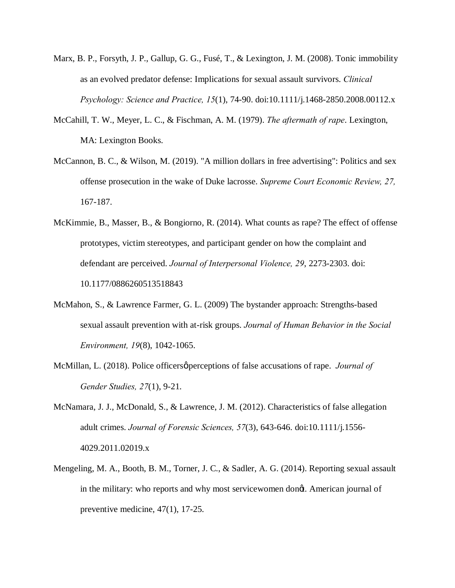- Marx, B. P., Forsyth, J. P., Gallup, G. G., Fusé, T., & Lexington, J. M. (2008). Tonic immobility as an evolved predator defense: Implications for sexual assault survivors. *Clinical Psychology: Science and Practice, 15*(1), 74-90. doi:10.1111/j.1468-2850.2008.00112.x
- McCahill, T. W., Meyer, L. C., & Fischman, A. M. (1979). *The aftermath of rape*. Lexington, MA: Lexington Books.
- McCannon, B. C., & Wilson, M. (2019). "A million dollars in free advertising": Politics and sex offense prosecution in the wake of Duke lacrosse. *Supreme Court Economic Review, 27,*  167-187.
- McKimmie, B., Masser, B., & Bongiorno, R. (2014). What counts as rape? The effect of offense prototypes, victim stereotypes, and participant gender on how the complaint and defendant are perceived. *Journal of Interpersonal Violence, 29*, 2273-2303. doi: 10.1177/0886260513518843
- McMahon, S., & Lawrence Farmer, G. L. (2009) The bystander approach: Strengths-based sexual assault prevention with at-risk groups. *Journal of Human Behavior in the Social Environment, 19*(8), 1042-1065.
- McMillan, L. (2018). Police officers *o* perceptions of false accusations of rape. *Journal of Gender Studies, 27*(1), 9-21.
- McNamara, J. J., McDonald, S., & Lawrence, J. M. (2012). Characteristics of false allegation adult crimes. *Journal of Forensic Sciences, 57*(3), 643-646. doi:10.1111/j.1556- 4029.2011.02019.x
- Mengeling, M. A., Booth, B. M., Torner, J. C., & Sadler, A. G. (2014). Reporting sexual assault in the military: who reports and why most servicewomen dongt. American journal of preventive medicine, 47(1), 17-25.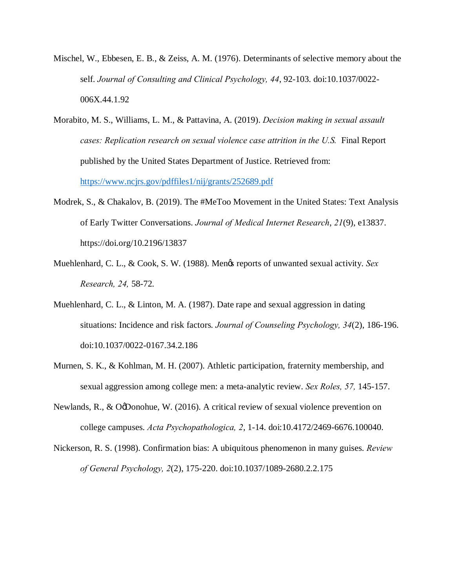- Mischel, W., Ebbesen, E. B., & Zeiss, A. M. (1976). Determinants of selective memory about the self. *Journal of Consulting and Clinical Psychology, 44*, 92-103. doi:10.1037/0022- 006X.44.1.92
- Morabito, M. S., Williams, L. M., & Pattavina, A. (2019). *Decision making in sexual assault cases: Replication research on sexual violence case attrition in the U.S.* Final Report published by the United States Department of Justice. Retrieved from: https://www.ncjrs.gov/pdffiles1/nij/grants/252689.pdf
- Modrek, S., & Chakalov, B. (2019). The #MeToo Movement in the United States: Text Analysis of Early Twitter Conversations. *Journal of Medical Internet Research*, *21*(9), e13837. https://doi.org/10.2196/13837
- Muehlenhard, C. L., & Cook, S. W. (1988). Mengs reports of unwanted sexual activity. *Sex Research, 24,* 58-72.
- Muehlenhard, C. L., & Linton, M. A. (1987). Date rape and sexual aggression in dating situations: Incidence and risk factors. *Journal of Counseling Psychology, 34*(2), 186-196. doi:10.1037/0022-0167.34.2.186
- Murnen, S. K., & Kohlman, M. H. (2007). Athletic participation, fraternity membership, and sexual aggression among college men: a meta-analytic review. *Sex Roles, 57,* 145-157.
- Newlands, R., & OgDonohue, W. (2016). A critical review of sexual violence prevention on college campuses. *Acta Psychopathologica, 2*, 1-14. doi:10.4172/2469-6676.100040.
- Nickerson, R. S. (1998). Confirmation bias: A ubiquitous phenomenon in many guises. *Review of General Psychology, 2*(2), 175-220. doi:10.1037/1089-2680.2.2.175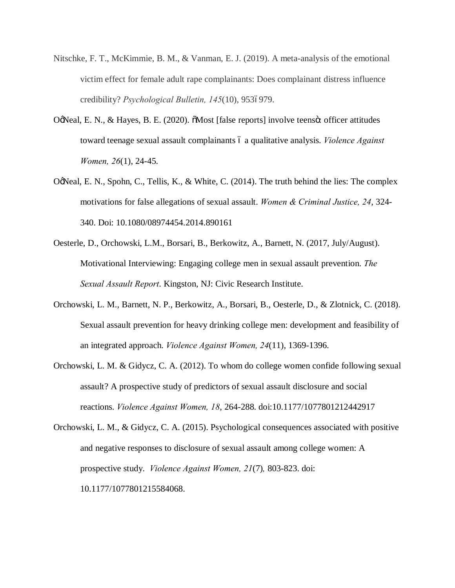- Nitschke, F. T., McKimmie, B. M., & Vanman, E. J. (2019). A meta-analysis of the emotional victim effect for female adult rape complainants: Does complainant distress influence credibility? *Psychological Bulletin, 145*(10), 9536979.
- OgNeal, E. N., & Hayes, B. E. (2020).  $\delta$ Most [false reports] involve teens $\ddot{o}$ : officer attitudes toward teenage sexual assault complainants 6 a qualitative analysis. *Violence Against Women, 26*(1), 24-45.
- OgNeal, E. N., Spohn, C., Tellis, K., & White, C. (2014). The truth behind the lies: The complex motivations for false allegations of sexual assault. *Women & Criminal Justice, 24*, 324- 340. Doi: 10.1080/08974454.2014.890161
- Oesterle, D., Orchowski, L.M., Borsari, B., Berkowitz, A., Barnett, N. (2017, July/August). Motivational Interviewing: Engaging college men in sexual assault prevention. *The Sexual Assault Report*. Kingston, NJ: Civic Research Institute.
- Orchowski, L. M., Barnett, N. P., Berkowitz, A., Borsari, B., Oesterle, D., & Zlotnick, C. (2018). Sexual assault prevention for heavy drinking college men: development and feasibility of an integrated approach. *Violence Against Women, 24*(11), 1369-1396.
- Orchowski, L. M. & Gidycz, C. A. (2012). To whom do college women confide following sexual assault? A prospective study of predictors of sexual assault disclosure and social reactions. *Violence Against Women, 18*, 264-288. doi:10.1177/1077801212442917
- Orchowski, L. M., & Gidycz, C. A. (2015). Psychological consequences associated with positive and negative responses to disclosure of sexual assault among college women: A prospective study. *Violence Against Women, 21*(7)*,* 803-823. doi: 10.1177/1077801215584068.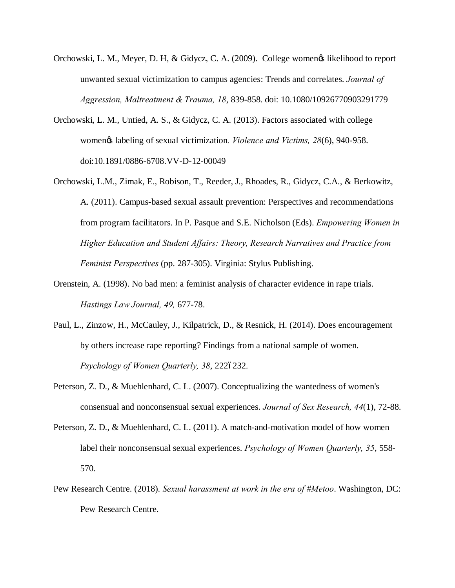- Orchowski, L. M., Meyer, D. H, & Gidycz, C. A. (2009). College women tikelihood to report unwanted sexual victimization to campus agencies: Trends and correlates. *Journal of Aggression, Maltreatment & Trauma, 18*, 839-858. doi: 10.1080/10926770903291779
- Orchowski, L. M., Untied, A. S., & Gidycz, C. A. (2013). Factors associated with college women's labeling of sexual victimization*. Violence and Victims, 28*(6), 940-958. doi:10.1891/0886-6708.VV-D-12-00049
- Orchowski, L.M., Zimak, E., Robison, T., Reeder, J., Rhoades, R., Gidycz, C.A., & Berkowitz, A. (2011). Campus-based sexual assault prevention: Perspectives and recommendations from program facilitators. In P. Pasque and S.E. Nicholson (Eds). *Empowering Women in Higher Education and Student Affairs: Theory, Research Narratives and Practice from Feminist Perspectives* (pp. 287-305). Virginia: Stylus Publishing.
- Orenstein, A. (1998). No bad men: a feminist analysis of character evidence in rape trials. *Hastings Law Journal, 49,* 677-78.
- Paul, L., Zinzow, H., McCauley, J., Kilpatrick, D., & Resnick, H. (2014). Does encouragement by others increase rape reporting? Findings from a national sample of women. *Psychology of Women Quarterly, 38, 2226232.*
- Peterson, Z. D., & Muehlenhard, C. L. (2007). Conceptualizing the wantedness of women's consensual and nonconsensual sexual experiences. *Journal of Sex Research, 44*(1), 72-88.
- Peterson, Z. D., & Muehlenhard, C. L. (2011). A match-and-motivation model of how women label their nonconsensual sexual experiences. *Psychology of Women Quarterly, 35*, 558- 570.
- Pew Research Centre. (2018). *Sexual harassment at work in the era of #Metoo*. Washington, DC: Pew Research Centre.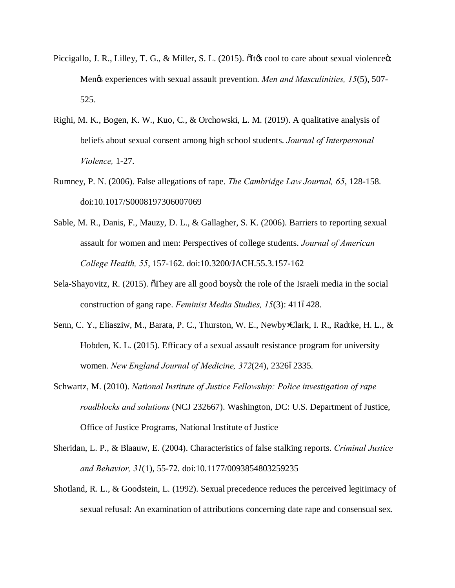- Piccigallo, J. R., Lilley, T. G., & Miller, S. L. (2015). Sitos cool to care about sexual violence is: Mengs experiences with sexual assault prevention. *Men and Masculinities, 15*(5), 507-525.
- Righi, M. K., Bogen, K. W., Kuo, C., & Orchowski, L. M. (2019). A qualitative analysis of beliefs about sexual consent among high school students. *Journal of Interpersonal Violence,* 1-27.
- Rumney, P. N. (2006). False allegations of rape. *The Cambridge Law Journal, 65*, 128-158. doi:10.1017/S0008197306007069
- Sable, M. R., Danis, F., Mauzy, D. L., & Gallagher, S. K. (2006). Barriers to reporting sexual assault for women and men: Perspectives of college students. *Journal of American College Health, 55*, 157-162. doi:10.3200/JACH.55.3.157-162
- Sela-Shayovitz, R. (2015). They are all good boys it the role of the Israeli media in the social construction of gang rape. *Feminist Media Studies, 15*(3): 4116428.
- Senn, C. Y., Eliasziw, M., Barata, P. C., Thurston, W. E., Newby Clark, I. R., Radtke, H. L., & Hobden, K. L. (2015). Efficacy of a sexual assault resistance program for university women. *New England Journal of Medicine*, 372(24), 2326ó2335.
- Schwartz, M. (2010). *National Institute of Justice Fellowship: Police investigation of rape roadblocks and solutions* (NCJ 232667). Washington, DC: U.S. Department of Justice, Office of Justice Programs, National Institute of Justice
- Sheridan, L. P., & Blaauw, E. (2004). Characteristics of false stalking reports. *Criminal Justice and Behavior, 31*(1), 55-72. doi:10.1177/0093854803259235
- Shotland, R. L., & Goodstein, L. (1992). Sexual precedence reduces the perceived legitimacy of sexual refusal: An examination of attributions concerning date rape and consensual sex.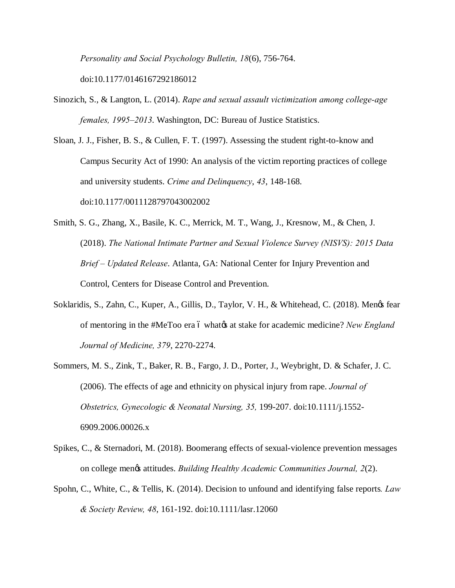*Personality and Social Psychology Bulletin, 18*(6), 756-764. doi:10.1177/0146167292186012

- Sinozich, S., & Langton, L. (2014). *Rape and sexual assault victimization among college-age females, 1995–2013*. Washington, DC: Bureau of Justice Statistics.
- Sloan, J. J., Fisher, B. S., & Cullen, F. T. (1997). Assessing the student right-to-know and Campus Security Act of 1990: An analysis of the victim reporting practices of college and university students. *Crime and Delinquency*, *43*, 148-168. doi:10.1177/0011128797043002002
- Smith, S. G., Zhang, X., Basile, K. C., Merrick, M. T., Wang, J., Kresnow, M., & Chen, J. (2018). *The National Intimate Partner and Sexual Violence Survey (NISVS): 2015 Data Brief – Updated Release*. Atlanta, GA: National Center for Injury Prevention and Control, Centers for Disease Control and Prevention.
- Soklaridis, S., Zahn, C., Kuper, A., Gillis, D., Taylor, V. H., & Whitehead, C. (2018). Mengs fear of mentoring in the #MeToo era 6 what ts at stake for academic medicine? *New England Journal of Medicine, 379*, 2270-2274.
- Sommers, M. S., Zink, T., Baker, R. B., Fargo, J. D., Porter, J., Weybright, D. & Schafer, J. C. (2006). The effects of age and ethnicity on physical injury from rape. *Journal of Obstetrics, Gynecologic & Neonatal Nursing, 35,* 199-207. doi:10.1111/j.1552- 6909.2006.00026.x
- Spikes, C., & Sternadori, M. (2018). Boomerang effects of sexual-violence prevention messages on college men's attitudes. *Building Healthy Academic Communities Journal, 2*(2).
- Spohn, C., White, C., & Tellis, K. (2014). Decision to unfound and identifying false reports*. Law & Society Review, 48*, 161-192. doi:10.1111/lasr.12060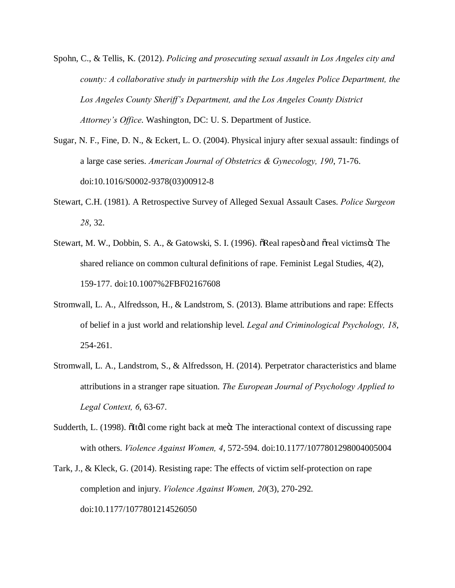- Spohn, C., & Tellis, K. (2012). *Policing and prosecuting sexual assault in Los Angeles city and county: A collaborative study in partnership with the Los Angeles Police Department, the Los Angeles County Sheriff's Department, and the Los Angeles County District Attorney's Office*. Washington, DC: U. S. Department of Justice.
- Sugar, N. F., Fine, D. N., & Eckert, L. O. (2004). Physical injury after sexual assault: findings of a large case series. *American Journal of Obstetrics & Gynecology, 190*, 71-76. doi:10.1016/S0002-9378(03)00912-8
- Stewart, C.H. (1981). A Retrospective Survey of Alleged Sexual Assault Cases. *Police Surgeon 28*, 32.
- Stewart, M. W., Dobbin, S. A., & Gatowski, S. I. (1996).  $\delta$ Real rapes and  $\delta$ real victims $\delta$ : The shared reliance on common cultural definitions of rape. Feminist Legal Studies, 4(2), 159-177. doi:10.1007%2FBF02167608
- Stromwall, L. A., Alfredsson, H., & Landstrom, S. (2013). Blame attributions and rape: Effects of belief in a just world and relationship level. *Legal and Criminological Psychology, 18*, 254-261.
- Stromwall, L. A., Landstrom, S., & Alfredsson, H. (2014). Perpetrator characteristics and blame attributions in a stranger rape situation. *The European Journal of Psychology Applied to Legal Context, 6*, 63-67.
- Sudderth, L. (1998).  $\delta I$ tdl come right back at me $\ddot{\text{o}}$ : The interactional context of discussing rape with others. *Violence Against Women, 4*, 572-594. doi:10.1177/1077801298004005004
- Tark, J., & Kleck, G. (2014). Resisting rape: The effects of victim self-protection on rape completion and injury. *Violence Against Women, 20*(3), 270-292. doi:10.1177/1077801214526050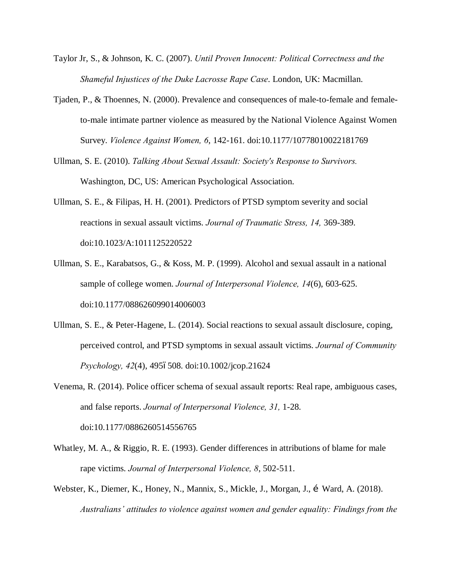- Taylor Jr, S., & Johnson, K. C. (2007). *Until Proven Innocent: Political Correctness and the Shameful Injustices of the Duke Lacrosse Rape Case*. London, UK: Macmillan.
- Tjaden, P., & Thoennes, N. (2000). Prevalence and consequences of male-to-female and femaleto-male intimate partner violence as measured by the National Violence Against Women Survey. *Violence Against Women, 6*, 142-161. doi:10.1177/10778010022181769
- Ullman, S. E. (2010). *Talking About Sexual Assault: Society's Response to Survivors.*  Washington, DC, US: American Psychological Association.
- Ullman, S. E., & Filipas, H. H. (2001). Predictors of PTSD symptom severity and social reactions in sexual assault victims. *Journal of Traumatic Stress, 14,* 369-389. doi:10.1023/A:1011125220522
- Ullman, S. E., Karabatsos, G., & Koss, M. P. (1999). Alcohol and sexual assault in a national sample of college women. *Journal of Interpersonal Violence, 14*(6), 603-625. doi:10.1177/088626099014006003
- Ullman, S. E., & Peter-Hagene, L. (2014). Social reactions to sexual assault disclosure, coping, perceived control, and PTSD symptoms in sexual assault victims. *Journal of Community Psychology, 42*(4), 4956508. doi:10.1002/jcop.21624
- Venema, R. (2014). Police officer schema of sexual assault reports: Real rape, ambiguous cases, and false reports. *Journal of Interpersonal Violence, 31,* 1-28. doi:10.1177/0886260514556765
- Whatley, M. A., & Riggio, R. E. (1993). Gender differences in attributions of blame for male rape victims. *Journal of Interpersonal Violence, 8*, 502-511.
- Webster, K., Diemer, K., Honey, N., Mannix, S., Mickle, J., Morgan, J., í Ward, A. (2018). *Australians' attitudes to violence against women and gender equality: Findings from the*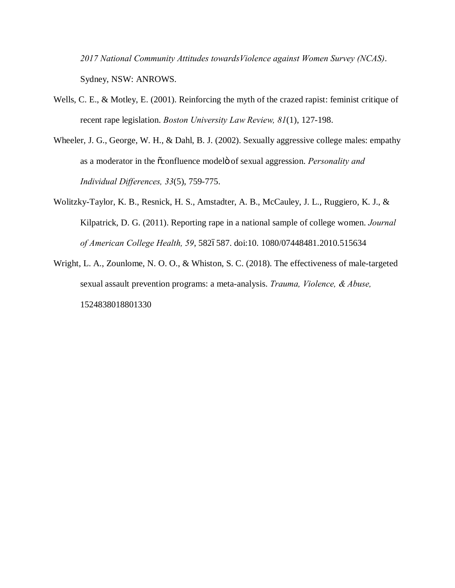*2017 National Community Attitudes towardsViolence against Women Survey (NCAS)*. Sydney, NSW: ANROWS.

- Wells, C. E., & Motley, E. (2001). Reinforcing the myth of the crazed rapist: feminist critique of recent rape legislation. *Boston University Law Review, 81*(1), 127-198.
- Wheeler, J. G., George, W. H., & Dahl, B. J. (2002). Sexually aggressive college males: empathy as a moderator in the  $\tilde{\alpha}$  confluence model of sexual aggression. *Personality and Individual Differences, 33*(5), 759-775.
- Wolitzky-Taylor, K. B., Resnick, H. S., Amstadter, A. B., McCauley, J. L., Ruggiero, K. J., & Kilpatrick, D. G. (2011). Reporting rape in a national sample of college women. *Journal of American College Health, 59*, 582–587. doi:10. 1080/07448481.2010.515634
- Wright, L. A., Zounlome, N. O. O., & Whiston, S. C. (2018). The effectiveness of male-targeted sexual assault prevention programs: a meta-analysis. *Trauma, Violence, & Abuse,* 1524838018801330